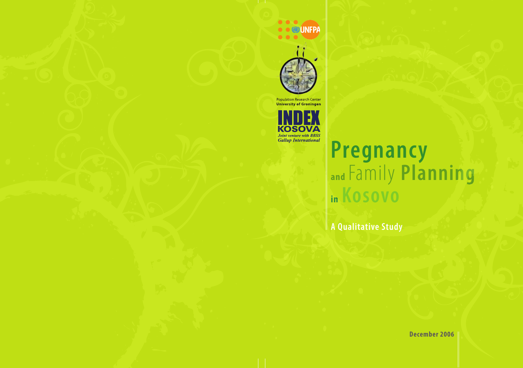



**Population Research Center University of Groningen** 



# **Pregnancy and** Family **Planning in Kosovo**

**A Qualitative Study**

**December 2006**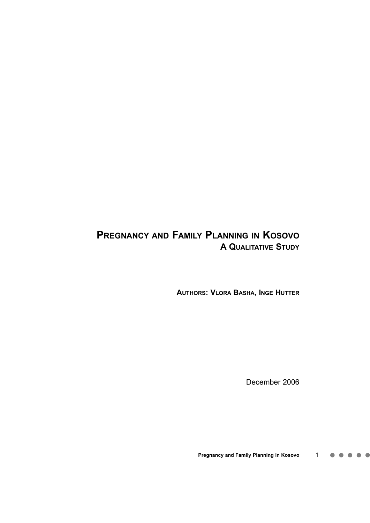# **PREGNANCY AND FAMILY PLANNING IN KOSOVO A QUALITATIVE STUDY**

**AUTHORS: VLORA BASHA, INGE HUTTER**

December 2006

**Pregnancy and Family Planning in Kosovo** 1 **0 0 0**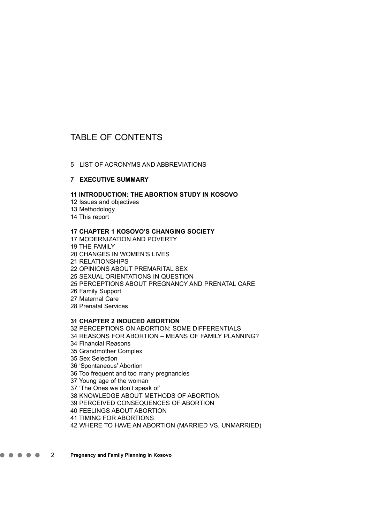# TABLE OF CONTENTS

# 5 LIST OF ACRONYMS AND ABBREVIATIONS

# **7 EXECUTIVE SUMMARY**

# **11 INTRODUCTION: THE ABORTION STUDY IN KOSOVO**

- 12 Issues and objectives
- 13 Methodology
- 14 This report

## **17 CHAPTER 1 KOSOVO'S CHANGING SOCIETY**

- 17 MODERNIZATION AND POVERTY
- 19 THE FAMILY
- 20 CHANGES IN WOMEN'S LIVES
- 21 RELATIONSHIPS
- 22 OPINIONS ABOUT PREMARITAL SEX
- 25 SEXUAL ORIENTATIONS IN QUESTION
- 25 PERCEPTIONS ABOUT PREGNANCY AND PRENATAL CARE
- 26 Family Support
- 27 Maternal Care
- 28 Prenatal Services

# **31 CHAPTER 2 INDUCED ABORTION**

32 PERCEPTIONS ON ABORTION: SOME DIFFERENTIALS

- 34 REASONS FOR ABORTION MEANS OF FAMILY PLANNING?
- 34 Financial Reasons
- 35 Grandmother Complex
- 35 Sex Selection
- 36 'Spontaneous' Abortion
- 36 Too frequent and too many pregnancies
- 37 Young age of the woman
- 37 'The Ones we don't speak of'
- 38 KNOWLEDGE ABOUT METHODS OF ABORTION
- 39 PERCEIVED CONSEQUENCES OF ABORTION
- 40 FEELINGS ABOUT ABORTION
- 41 TIMING FOR ABORTIONS
- 42 WHERE TO HAVE AN ABORTION (MARRIED VS. UNMARRIED)

. . . . . 2 **Pregnancy and Family Planning in Kosovo**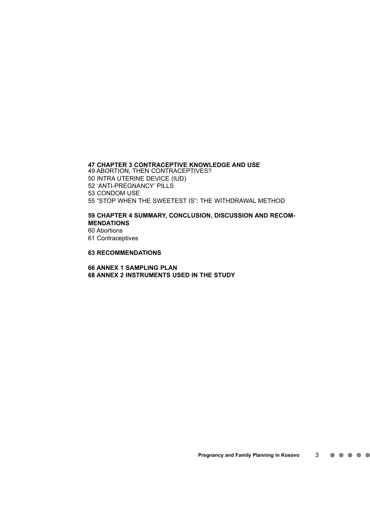# **47 CHAPTER 3 CONTRACEPTIVE KNOWLEDGE AND USE**

49 ABORTION, THEN CONTRACEPTIVES? 50 INTRA UTERINE DEVICE (IUD) 52 'ANTI-PREGNANCY' PILLS 53 CONDOM USE 55 "STOP WHEN THE SWEETEST IS": THE WITHDRAWAL METHOD

# **59 CHAPTER 4 SUMMARY, CONCLUSION, DISCUSSION AND RECOM-MENDATIONS** 60 Abortions 61 Contraceptives

#### **63 RECOMMENDATIONS**

**66 ANNEX 1 SAMPLING PLAN 68 ANNEX 2 INSTRUMENTS USED IN THE STUDY**

**Pregnancy and Family Planning in Kosovo** 3

 $\bullet\hspace{0.1cm} \bullet\hspace{0.1cm} \bullet\hspace{0.1cm} \bullet\hspace{0.1cm} \bullet\hspace{0.1cm} \bullet\hspace{0.1cm} \bullet$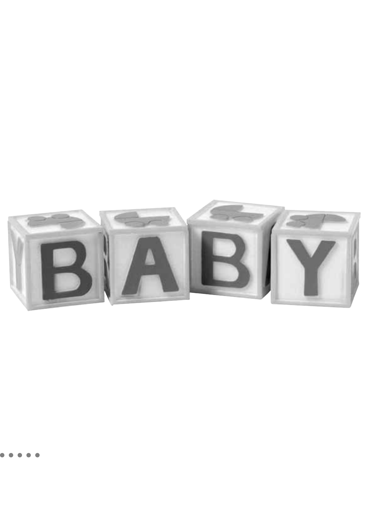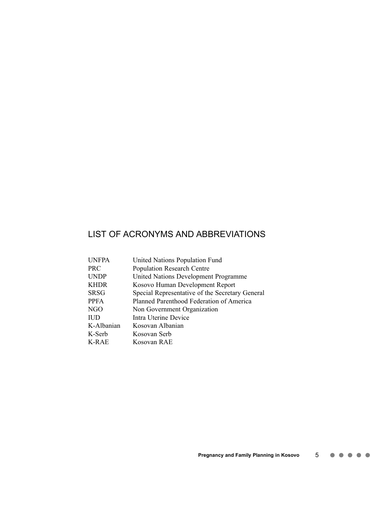# LIST OF ACRONYMS AND ABBREVIATIONS

| <b>UNFPA</b> | United Nations Population Fund                  |
|--------------|-------------------------------------------------|
| <b>PRC</b>   | <b>Population Research Centre</b>               |
| <b>UNDP</b>  | United Nations Development Programme            |
| <b>KHDR</b>  | Kosovo Human Development Report                 |
| <b>SRSG</b>  | Special Representative of the Secretary General |
| <b>PPFA</b>  | Planned Parenthood Federation of America        |
| NGO          | Non Government Organization                     |
| <b>IUD</b>   | Intra Uterine Device                            |
| K-Albanian   | Kosovan Albanian                                |
| K-Serb       | Kosovan Serb                                    |
| K-RAE        | Kosovan RAE                                     |

**Pregnancy and Family Planning in Kosovo** 5 **6 6 6 6 6**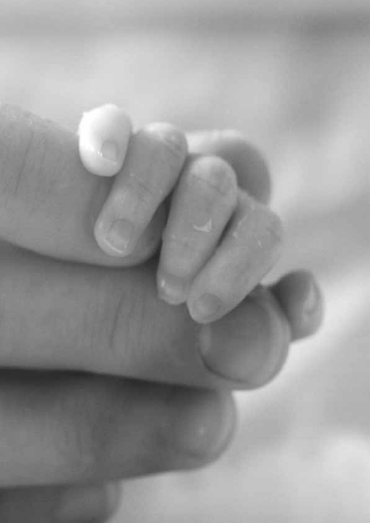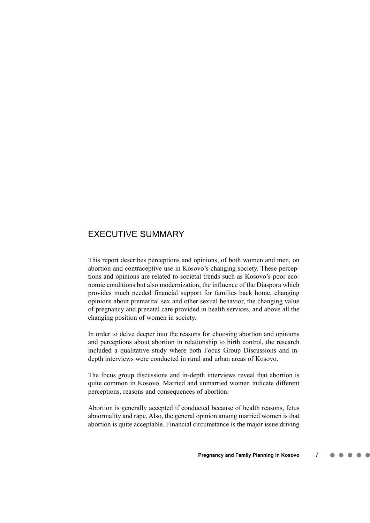# EXECUTIVE SUMMARY

This report describes perceptions and opinions, of both women and men, on abortion and contraceptive use in Kosovo's changing society. These perceptions and opinions are related to societal trends such as Kosovo's poor economic conditions but also modernization, the influence of the Diaspora which provides much needed financial support for families back home, changing opinions about premarital sex and other sexual behavior, the changing value of pregnancy and prenatal care provided in health services, and above all the changing position of women in society.

In order to delve deeper into the reasons for choosing abortion and opinions and perceptions about abortion in relationship to birth control, the research included a qualitative study where both Focus Group Discussions and indepth interviews were conducted in rural and urban areas of Kosovo.

The focus group discussions and in-depth interviews reveal that abortion is quite common in Kosovo. Married and unmarried women indicate different perceptions, reasons and consequences of abortion.

Abortion is generally accepted if conducted because of health reasons, fetus abnormality and rape. Also, the general opinion among married women is that abortion is quite acceptable. Financial circumstance is the major issue driving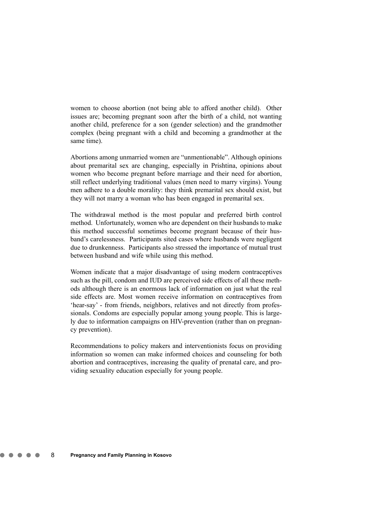women to choose abortion (not being able to afford another child). Other issues are; becoming pregnant soon after the birth of a child, not wanting another child, preference for a son (gender selection) and the grandmother complex (being pregnant with a child and becoming a grandmother at the same time).

Abortions among unmarried women are "unmentionable". Although opinions about premarital sex are changing, especially in Prishtina, opinions about women who become pregnant before marriage and their need for abortion, still reflect underlying traditional values (men need to marry virgins). Young men adhere to a double morality: they think premarital sex should exist, but they will not marry a woman who has been engaged in premarital sex.

The withdrawal method is the most popular and preferred birth control method. Unfortunately, women who are dependent on their husbands to make this method successful sometimes become pregnant because of their husband's carelessness. Participants sited cases where husbands were negligent due to drunkenness. Participants also stressed the importance of mutual trust between husband and wife while using this method.

Women indicate that a major disadvantage of using modern contraceptives such as the pill, condom and IUD are perceived side effects of all these methods although there is an enormous lack of information on just what the real side effects are. Most women receive information on contraceptives from 'hear-say' - from friends, neighbors, relatives and not directly from professionals. Condoms are especially popular among young people. This is largely due to information campaigns on HIV-prevention (rather than on pregnancy prevention).

Recommendations to policy makers and interventionists focus on providing information so women can make informed choices and counseling for both abortion and contraceptives, increasing the quality of prenatal care, and providing sexuality education especially for young people.

8 **Pregnancy and Family Planning in Kosovo**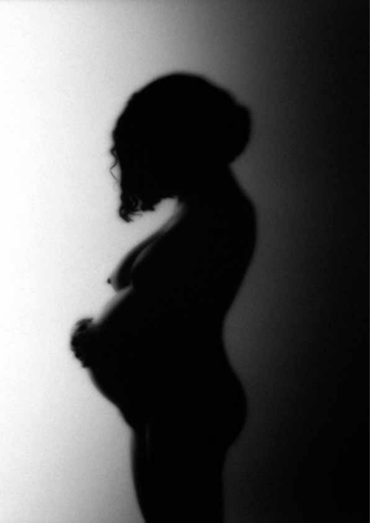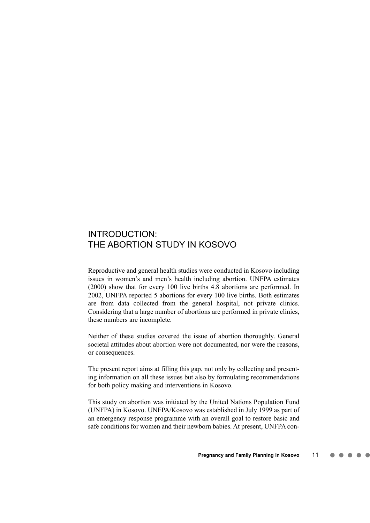# INTRODUCTION: THE ABORTION STUDY IN KOSOVO

Reproductive and general health studies were conducted in Kosovo including issues in women's and men's health including abortion. UNFPA estimates (2000) show that for every 100 live births 4.8 abortions are performed. In 2002, UNFPA reported 5 abortions for every 100 live births. Both estimates are from data collected from the general hospital, not private clinics. Considering that a large number of abortions are performed in private clinics, these numbers are incomplete.

Neither of these studies covered the issue of abortion thoroughly. General societal attitudes about abortion were not documented, nor were the reasons, or consequences.

The present report aims at filling this gap, not only by collecting and presenting information on all these issues but also by formulating recommendations for both policy making and interventions in Kosovo.

This study on abortion was initiated by the United Nations Population Fund (UNFPA) in Kosovo. UNFPA/Kosovo was established in July 1999 as part of an emergency response programme with an overall goal to restore basic and safe conditions for women and their newborn babies. At present, UNFPA con-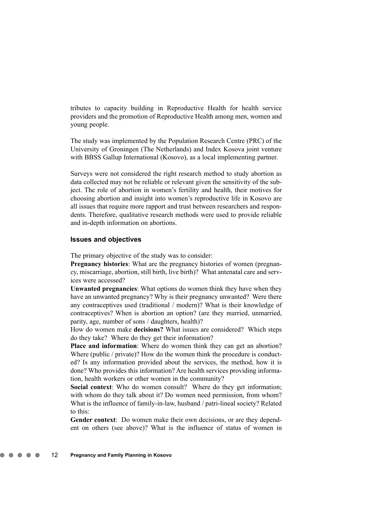tributes to capacity building in Reproductive Health for health service providers and the promotion of Reproductive Health among men, women and young people.

The study was implemented by the Population Research Centre (PRC) of the University of Groningen (The Netherlands) and Index Kosova joint venture with BBSS Gallup International (Kosovo), as a local implementing partner.

Surveys were not considered the right research method to study abortion as data collected may not be reliable or relevant given the sensitivity of the subject. The role of abortion in women's fertility and health, their motives for choosing abortion and insight into women's reproductive life in Kosovo are all issues that require more rapport and trust between researchers and respondents. Therefore, qualitative research methods were used to provide reliable and in-depth information on abortions.

#### **Issues and objectives**

The primary objective of the study was to consider:

**Pregnancy histories**: What are the pregnancy histories of women (pregnancy, miscarriage, abortion, still birth, live birth)? What antenatal care and services were accessed?

**Unwanted pregnancies**: What options do women think they have when they have an unwanted pregnancy? Why is their pregnancy unwanted? Were there any contraceptives used (traditional / modern)? What is their knowledge of contraceptives? When is abortion an option? (are they married, unmarried, parity, age, number of sons / daughters, health)?

How do women make **decisions?** What issues are considered? Which steps do they take? Where do they get their information?

**Place and information**: Where do women think they can get an abortion? Where (public / private)? How do the women think the procedure is conducted? Is any information provided about the services, the method, how it is done? Who provides this information? Are health services providing information, health workers or other women in the community?

**Social context**: Who do women consult? Where do they get information; with whom do they talk about it? Do women need permission, from whom? What is the influence of family-in-law, husband / patri-lineal society? Related to this:

**Gender context**: Do women make their own decisions, or are they dependent on others (see above)? What is the influence of status of women in

12 **Pregnancy and Family Planning in Kosovo**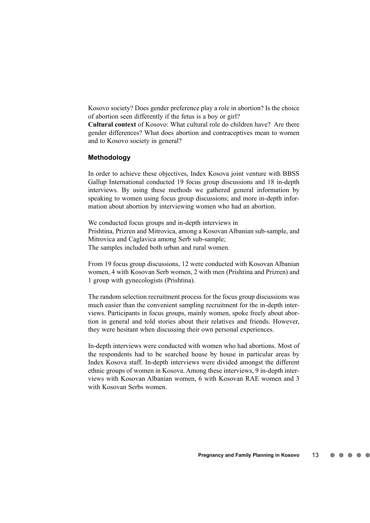Kosovo society? Does gender preference play a role in abortion? Is the choice of abortion seen differently if the fetus is a boy or girl?

**Cultural context** of Kosovo: What cultural role do children have? Are there gender differences? What does abortion and contraceptives mean to women and to Kosovo society in general?

## **Methodology**

In order to achieve these objectives, Index Kosova joint venture with BBSS Gallup International conducted 19 focus group discussions and 18 in-depth interviews. By using these methods we gathered general information by speaking to women using focus group discussions; and more in-depth information about abortion by interviewing women who had an abortion.

We conducted focus groups and in-depth interviews in Prishtina, Prizren and Mitrovica, among a Kosovan Albanian sub-sample, and Mitrovica and Caglavica among Serb sub-sample; The samples included both urban and rural women.

From 19 focus group discussions, 12 were conducted with Kosovan Albanian women, 4 with Kosovan Serb women, 2 with men (Prishtina and Prizren) and 1 group with gynecologists (Prishtina).

The random selection recruitment process for the focus group discussions was much easier than the convenient sampling recruitment for the in-depth interviews. Participants in focus groups, mainly women, spoke freely about abortion in general and told stories about their relatives and friends. However, they were hesitant when discussing their own personal experiences.

In-depth interviews were conducted with women who had abortions. Most of the respondents had to be searched house by house in particular areas by Index Kosova staff. In-depth interviews were divided amongst the different ethnic groups of women in Kosova. Among these interviews, 9 in-depth interviews with Kosovan Albanian women, 6 with Kosovan RAE women and 3 with Kosovan Serbs women.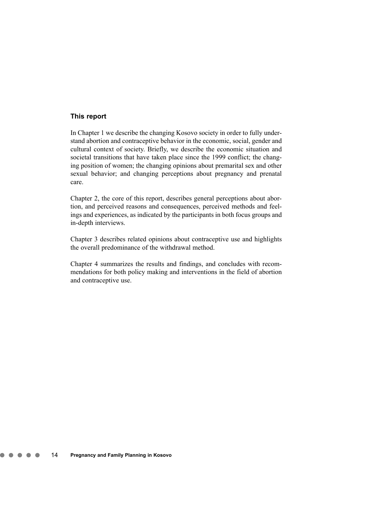# **This report**

In Chapter 1 we describe the changing Kosovo society in order to fully understand abortion and contraceptive behavior in the economic, social, gender and cultural context of society. Briefly, we describe the economic situation and societal transitions that have taken place since the 1999 conflict; the changing position of women; the changing opinions about premarital sex and other sexual behavior; and changing perceptions about pregnancy and prenatal care.

Chapter 2, the core of this report, describes general perceptions about abortion, and perceived reasons and consequences, perceived methods and feelings and experiences, as indicated by the participants in both focus groups and in-depth interviews.

Chapter 3 describes related opinions about contraceptive use and highlights the overall predominance of the withdrawal method.

Chapter 4 summarizes the results and findings, and concludes with recommendations for both policy making and interventions in the field of abortion and contraceptive use.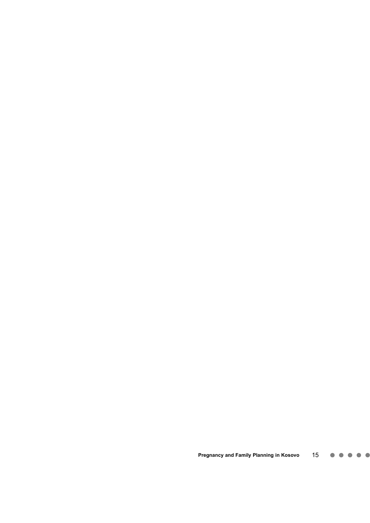**Pregnancy and Family Planning in Kosovo** 15

 $\bullet\hspace{0.1cm} \bullet\hspace{0.1cm} \bullet\hspace{0.1cm} \bullet\hspace{0.1cm} \bullet\hspace{0.1cm} \bullet\hspace{0.1cm} \bullet\hspace{0.1cm} \bullet$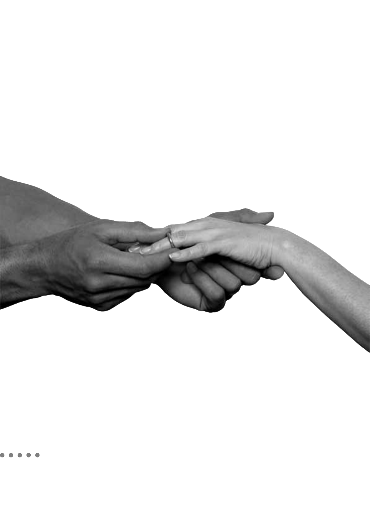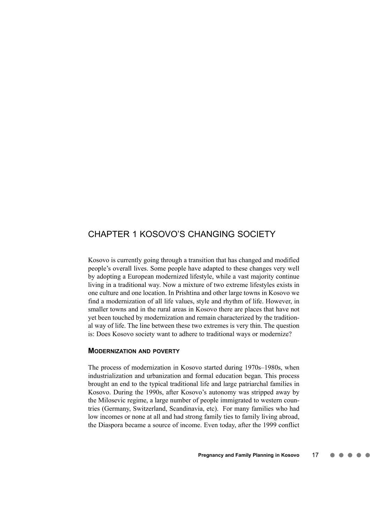# CHAPTER 1 KOSOVO'S CHANGING SOCIETY

Kosovo is currently going through a transition that has changed and modified people's overall lives. Some people have adapted to these changes very well by adopting a European modernized lifestyle, while a vast majority continue living in a traditional way. Now a mixture of two extreme lifestyles exists in one culture and one location. In Prishtina and other large towns in Kosovo we find a modernization of all life values, style and rhythm of life. However, in smaller towns and in the rural areas in Kosovo there are places that have not yet been touched by modernization and remain characterized by the traditional way of life. The line between these two extremes is very thin. The question is: Does Kosovo society want to adhere to traditional ways or modernize?

# **MODERNIZATION AND POVERTY**

The process of modernization in Kosovo started during 1970s–1980s, when industrialization and urbanization and formal education began. This process brought an end to the typical traditional life and large patriarchal families in Kosovo. During the 1990s, after Kosovo's autonomy was stripped away by the Milosevic regime, a large number of people immigrated to western countries (Germany, Switzerland, Scandinavia, etc). For many families who had low incomes or none at all and had strong family ties to family living abroad, the Diaspora became a source of income. Even today, after the 1999 conflict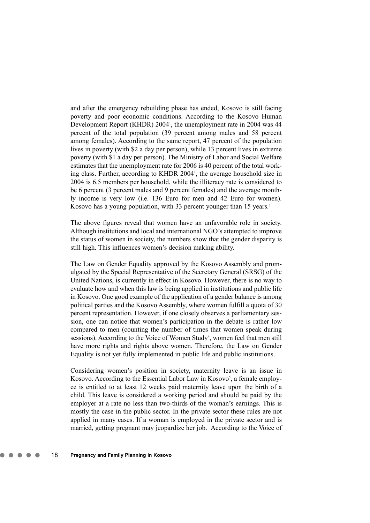and after the emergency rebuilding phase has ended, Kosovo is still facing poverty and poor economic conditions. According to the Kosovo Human Development Report (KHDR) 2004<sup>1</sup>, the unemployment rate in 2004 was 44 percent of the total population (39 percent among males and 58 percent among females). According to the same report, 47 percent of the population lives in poverty (with \$2 a day per person), while 13 percent lives in extreme poverty (with \$1 a day per person). The Ministry of Labor and Social Welfare estimates that the unemployment rate for 2006 is 40 percent of the total working class. Further, according to KHDR 2004<sup>2</sup>, the average household size in 2004 is 6.5 members per household, while the illiteracy rate is considered to be 6 percent (3 percent males and 9 percent females) and the average monthly income is very low (i.e. 136 Euro for men and 42 Euro for women). Kosovo has a young population, with 33 percent younger than 15 years.<sup>3</sup>

The above figures reveal that women have an unfavorable role in society. Although institutions and local and international NGO's attempted to improve the status of women in society, the numbers show that the gender disparity is still high. This influences women's decision making ability.

The Law on Gender Equality approved by the Kosovo Assembly and promulgated by the Special Representative of the Secretary General (SRSG) of the United Nations, is currently in effect in Kosovo. However, there is no way to evaluate how and when this law is being applied in institutions and public life in Kosovo. One good example of the application of a gender balance is among political parties and the Kosovo Assembly, where women fulfill a quota of 30 percent representation. However, if one closely observes a parliamentary session, one can notice that women's participation in the debate is rather low compared to men (counting the number of times that women speak during sessions). According to the Voice of Women Study<sup>4</sup>, women feel that men still have more rights and rights above women. Therefore, the Law on Gender Equality is not yet fully implemented in public life and public institutions.

Considering women's position in society, maternity leave is an issue in Kosovo. According to the Essential Labor Law in Kosovo<sup>5</sup>, a female employee is entitled to at least 12 weeks paid maternity leave upon the birth of a child. This leave is considered a working period and should be paid by the employer at a rate no less than two-thirds of the woman's earnings. This is mostly the case in the public sector. In the private sector these rules are not applied in many cases. If a woman is employed in the private sector and is married, getting pregnant may jeopardize her job. According to the Voice of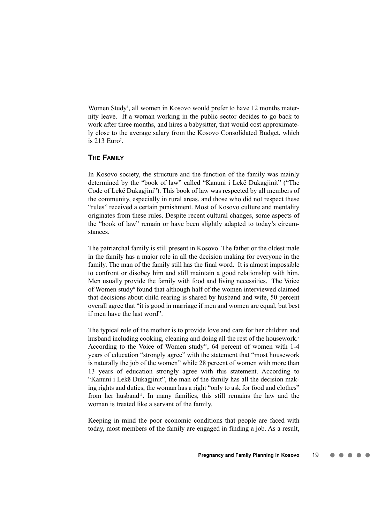Women Study<sup>6</sup>, all women in Kosovo would prefer to have 12 months maternity leave. If a woman working in the public sector decides to go back to work after three months, and hires a babysitter, that would cost approximately close to the average salary from the Kosovo Consolidated Budget, which is 213 Euro<sup>7</sup>.

# **THE FAMILY**

In Kosovo society, the structure and the function of the family was mainly determined by the "book of law" called "Kanuni i Lekë Dukagjinit" ("The Code of Lekë Dukagjini"). This book of law was respected by all members of the community, especially in rural areas, and those who did not respect these "rules" received a certain punishment. Most of Kosovo culture and mentality originates from these rules. Despite recent cultural changes, some aspects of the "book of law" remain or have been slightly adapted to today's circumstances.

The patriarchal family is still present in Kosovo. The father or the oldest male in the family has a major role in all the decision making for everyone in the family. The man of the family still has the final word. It is almost impossible to confront or disobey him and still maintain a good relationship with him. Men usually provide the family with food and living necessities. The Voice of Women study8 found that although half of the women interviewed claimed that decisions about child rearing is shared by husband and wife, 50 percent overall agree that "it is good in marriage if men and women are equal, but best if men have the last word".

The typical role of the mother is to provide love and care for her children and husband including cooking, cleaning and doing all the rest of the housework.<sup>9</sup> According to the Voice of Women study<sup>10</sup>, 64 percent of women with 1-4 years of education "strongly agree" with the statement that "most housework is naturally the job of the women" while 28 percent of women with more than 13 years of education strongly agree with this statement. According to "Kanuni i Lekë Dukagjinit", the man of the family has all the decision making rights and duties, the woman has a right "only to ask for food and clothes" from her husband<sup>11</sup>. In many families, this still remains the law and the woman is treated like a servant of the family.

Keeping in mind the poor economic conditions that people are faced with today, most members of the family are engaged in finding a job. As a result,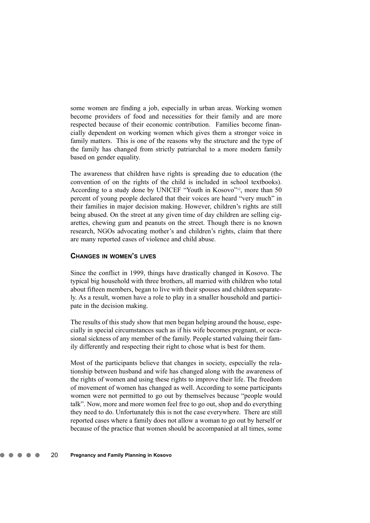some women are finding a job, especially in urban areas. Working women become providers of food and necessities for their family and are more respected because of their economic contribution. Families become financially dependent on working women which gives them a stronger voice in family matters. This is one of the reasons why the structure and the type of the family has changed from strictly patriarchal to a more modern family based on gender equality.

The awareness that children have rights is spreading due to education (the convention of on the rights of the child is included in school textbooks). According to a study done by UNICEF "Youth in Kosovo"<sup>12</sup>, more than 50 percent of young people declared that their voices are heard "very much" in their families in major decision making. However, children's rights are still being abused. On the street at any given time of day children are selling cigarettes, chewing gum and peanuts on the street. Though there is no known research, NGOs advocating mother's and children's rights, claim that there are many reported cases of violence and child abuse.

## **CHANGES IN WOMEN'S LIVES**

Since the conflict in 1999, things have drastically changed in Kosovo. The typical big household with three brothers, all married with children who total about fifteen members, began to live with their spouses and children separately. As a result, women have a role to play in a smaller household and participate in the decision making.

The results of this study show that men began helping around the house, especially in special circumstances such as if his wife becomes pregnant, or occasional sickness of any member of the family. People started valuing their family differently and respecting their right to chose what is best for them.

Most of the participants believe that changes in society, especially the relationship between husband and wife has changed along with the awareness of the rights of women and using these rights to improve their life. The freedom of movement of women has changed as well. According to some participants women were not permitted to go out by themselves because "people would talk". Now, more and more women feel free to go out, shop and do everything they need to do. Unfortunately this is not the case everywhere. There are still reported cases where a family does not allow a woman to go out by herself or because of the practice that women should be accompanied at all times, some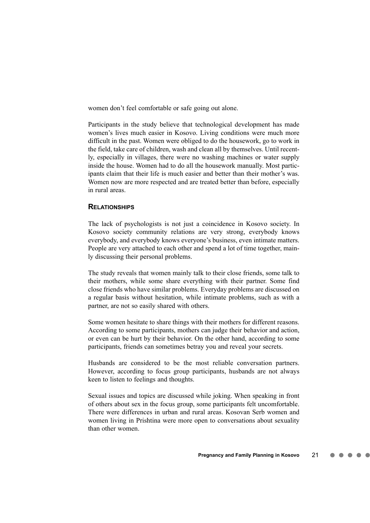women don't feel comfortable or safe going out alone.

Participants in the study believe that technological development has made women's lives much easier in Kosovo. Living conditions were much more difficult in the past. Women were obliged to do the housework, go to work in the field, take care of children, wash and clean all by themselves. Until recently, especially in villages, there were no washing machines or water supply inside the house. Women had to do all the housework manually. Most participants claim that their life is much easier and better than their mother's was. Women now are more respected and are treated better than before, especially in rural areas.

# **RELATIONSHIPS**

The lack of psychologists is not just a coincidence in Kosovo society. In Kosovo society community relations are very strong, everybody knows everybody, and everybody knows everyone's business, even intimate matters. People are very attached to each other and spend a lot of time together, mainly discussing their personal problems.

The study reveals that women mainly talk to their close friends, some talk to their mothers, while some share everything with their partner. Some find close friends who have similar problems. Everyday problems are discussed on a regular basis without hesitation, while intimate problems, such as with a partner, are not so easily shared with others.

Some women hesitate to share things with their mothers for different reasons. According to some participants, mothers can judge their behavior and action, or even can be hurt by their behavior. On the other hand, according to some participants, friends can sometimes betray you and reveal your secrets.

Husbands are considered to be the most reliable conversation partners. However, according to focus group participants, husbands are not always keen to listen to feelings and thoughts.

Sexual issues and topics are discussed while joking. When speaking in front of others about sex in the focus group, some participants felt uncomfortable. There were differences in urban and rural areas. Kosovan Serb women and women living in Prishtina were more open to conversations about sexuality than other women.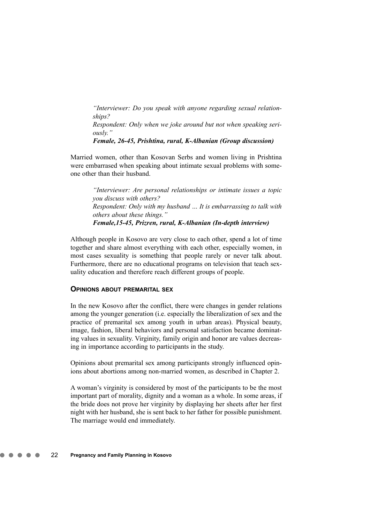*"Interviewer: Do you speak with anyone regarding sexual relationships? Respondent: Only when we joke around but not when speaking seriously." Female, 26-45, Prishtina, rural, K-Albanian (Group discussion)*

Married women, other than Kosovan Serbs and women living in Prishtina were embarrased when speaking about intimate sexual problems with someone other than their husband.

> *"Interviewer: Are personal relationships or intimate issues a topic you discuss with others? Respondent: Only with my husband … It is embarrassing to talk with others about these things." Female,15-45, Prizren, rural, K-Albanian (In-depth interview)*

Although people in Kosovo are very close to each other, spend a lot of time together and share almost everything with each other, especially women, in most cases sexuality is something that people rarely or never talk about. Furthermore, there are no educational programs on television that teach sexuality education and therefore reach different groups of people.

## **OPINIONS ABOUT PREMARITAL SEX**

In the new Kosovo after the conflict, there were changes in gender relations among the younger generation (i.e. especially the liberalization of sex and the practice of premarital sex among youth in urban areas). Physical beauty, image, fashion, liberal behaviors and personal satisfaction became dominating values in sexuality. Virginity, family origin and honor are values decreasing in importance according to participants in the study.

Opinions about premarital sex among participants strongly influenced opinions about abortions among non-married women, as described in Chapter 2.

A woman's virginity is considered by most of the participants to be the most important part of morality, dignity and a woman as a whole. In some areas, if the bride does not prove her virginity by displaying her sheets after her first night with her husband, she is sent back to her father for possible punishment. The marriage would end immediately.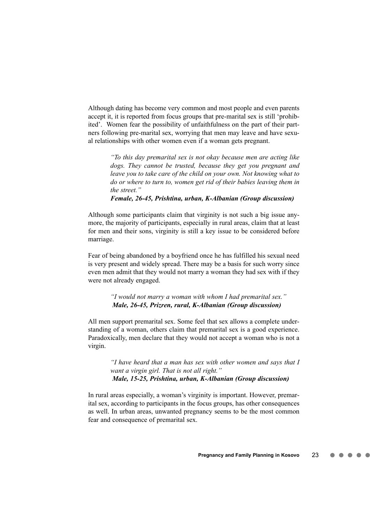Although dating has become very common and most people and even parents accept it, it is reported from focus groups that pre-marital sex is still 'prohibited'. Women fear the possibility of unfaithfulness on the part of their partners following pre-marital sex, worrying that men may leave and have sexual relationships with other women even if a woman gets pregnant.

> *"To this day premarital sex is not okay because men are acting like dogs. They cannot be trusted, because they get you pregnant and leave you to take care of the child on your own. Not knowing what to do or where to turn to, women get rid of their babies leaving them in the street."*

*Female, 26-45, Prishtina, urban, K-Albanian (Group discussion)* 

Although some participants claim that virginity is not such a big issue anymore, the majority of participants, especially in rural areas, claim that at least for men and their sons, virginity is still a key issue to be considered before marriage.

Fear of being abandoned by a boyfriend once he has fulfilled his sexual need is very present and widely spread. There may be a basis for such worry since even men admit that they would not marry a woman they had sex with if they were not already engaged.

> *"I would not marry a woman with whom I had premarital sex." Male, 26-45, Prizren, rural, K-Albanian (Group discussion)*

All men support premarital sex. Some feel that sex allows a complete understanding of a woman, others claim that premarital sex is a good experience. Paradoxically, men declare that they would not accept a woman who is not a virgin.

> *"I have heard that a man has sex with other women and says that I want a virgin girl. That is not all right." Male, 15-25, Prishtina, urban, K-Albanian (Group discussion)*

In rural areas especially, a woman's virginity is important. However, premarital sex, according to participants in the focus groups, has other consequences as well. In urban areas, unwanted pregnancy seems to be the most common fear and consequence of premarital sex.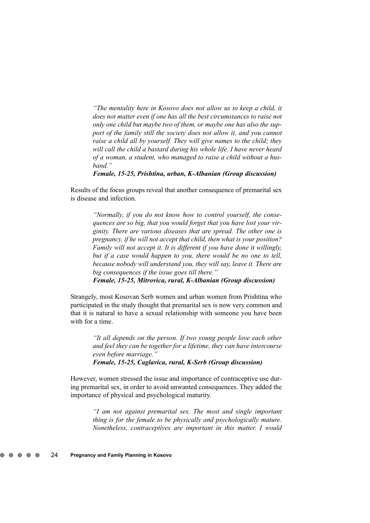*"The mentality here in Kosovo does not allow us to keep a child, it does not matter even if one has all the best circumstances to raise not only one child but maybe two of them, or maybe one has also the support of the family still the society does not allow it, and you cannot raise a child all by yourself. They will give names to the child; they will call the child a bastard during his whole life. I have never heard of a woman, a student, who managed to raise a child without a husband."*

*Female, 15-25, Prishtina, urban, K-Albanian (Group discussion)* 

Results of the focus groups reveal that another consequence of premarital sex is disease and infection.

> *"Normally, if you do not know how to control yourself, the consequences are so big, that you would forget that you have lost your virginity. There are various diseases that are spread. The other one is pregnancy, if he will not accept that child, then what is your position? Family will not accept it. It is different if you have done it willingly, but if a case would happen to you, there would be no one to tell, because nobody will understand you, they will say, leave it. There are big consequences if the issue goes till there."*

*Female, 15-25, Mitrovica, rural, K-Albanian (Group discussion)* 

Strangely, most Kosovan Serb women and urban women from Prishtina who participated in the study thought that premarital sex is now very common and that it is natural to have a sexual relationship with someone you have been with for a time.

> *"It all depends on the person. If two young people love each other and feel they can be together for a lifetime, they can have intercourse even before marriage."*

*Female, 15-25, Caglavica, rural, K-Serb (Group discussion)* 

However, women stressed the issue and importance of contraceptive use during premarital sex, in order to avoid unwanted consequences. They added the importance of physical and psychological maturity.

> *"I am not against premarital sex. The most and single important thing is for the female to be physically and psychologically mature. Nonetheless, contraceptives are important in this matter. I would*

24 **Pregnancy and Family Planning in Kosovo**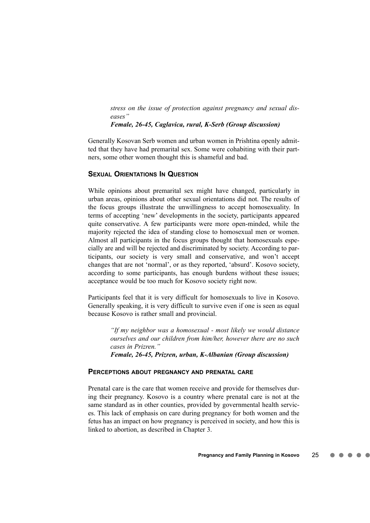*stress on the issue of protection against pregnancy and sexual diseases"*

*Female, 26-45, Caglavica, rural, K-Serb (Group discussion)* 

Generally Kosovan Serb women and urban women in Prishtina openly admitted that they have had premarital sex. Some were cohabiting with their partners, some other women thought this is shameful and bad.

# **SEXUAL ORIENTATIONS IN QUESTION**

While opinions about premarital sex might have changed, particularly in urban areas, opinions about other sexual orientations did not. The results of the focus groups illustrate the unwillingness to accept homosexuality. In terms of accepting 'new' developments in the society, participants appeared quite conservative. A few participants were more open-minded, while the majority rejected the idea of standing close to homosexual men or women. Almost all participants in the focus groups thought that homosexuals especially are and will be rejected and discriminated by society. According to participants, our society is very small and conservative, and won't accept changes that are not 'normal', or as they reported, 'absurd'. Kosovo society, according to some participants, has enough burdens without these issues; acceptance would be too much for Kosovo society right now.

Participants feel that it is very difficult for homosexuals to live in Kosovo. Generally speaking, it is very difficult to survive even if one is seen as equal because Kosovo is rather small and provincial.

> *"If my neighbor was a homosexual - most likely we would distance ourselves and our children from him/her, however there are no such cases in Prizren."*

*Female, 26-45, Prizren, urban, K-Albanian (Group discussion)* 

# **PERCEPTIONS ABOUT PREGNANCY AND PRENATAL CARE**

Prenatal care is the care that women receive and provide for themselves during their pregnancy. Kosovo is a country where prenatal care is not at the same standard as in other counties, provided by governmental health services. This lack of emphasis on care during pregnancy for both women and the fetus has an impact on how pregnancy is perceived in society, and how this is linked to abortion, as described in Chapter 3.

 $\sim$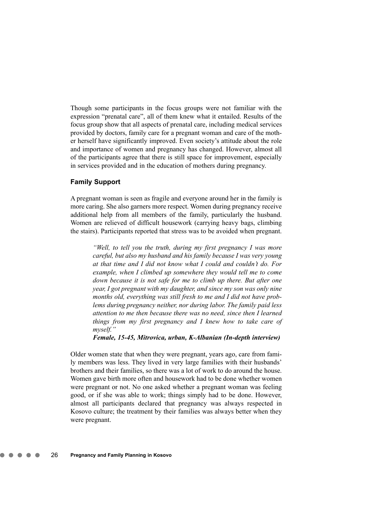Though some participants in the focus groups were not familiar with the expression "prenatal care", all of them knew what it entailed. Results of the focus group show that all aspects of prenatal care, including medical services provided by doctors, family care for a pregnant woman and care of the mother herself have significantly improved. Even society's attitude about the role and importance of women and pregnancy has changed. However, almost all of the participants agree that there is still space for improvement, especially in services provided and in the education of mothers during pregnancy.

# **Family Support**

A pregnant woman is seen as fragile and everyone around her in the family is more caring. She also garners more respect. Women during pregnancy receive additional help from all members of the family, particularly the husband. Women are relieved of difficult housework (carrying heavy bags, climbing the stairs). Participants reported that stress was to be avoided when pregnant.

> *"Well, to tell you the truth, during my first pregnancy I was more careful, but also my husband and his family because I was very young at that time and I did not know what I could and couldn't do. For example, when I climbed up somewhere they would tell me to come down because it is not safe for me to climb up there. But after one year, I got pregnant with my daughter, and since my son was only nine months old, everything was still fresh to me and I did not have problems during pregnancy neither, nor during labor. The family paid less attention to me then because there was no need, since then I learned things from my first pregnancy and I knew how to take care of myself."*

*Female, 15-45, Mitrovica, urban, K-Albanian (In-depth interview)*

Older women state that when they were pregnant, years ago, care from family members was less. They lived in very large families with their husbands' brothers and their families, so there was a lot of work to do around the house. Women gave birth more often and housework had to be done whether women were pregnant or not. No one asked whether a pregnant woman was feeling good, or if she was able to work; things simply had to be done. However, almost all participants declared that pregnancy was always respected in Kosovo culture; the treatment by their families was always better when they were pregnant.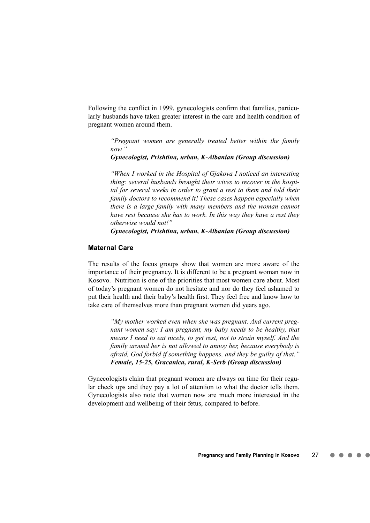Following the conflict in 1999, gynecologists confirm that families, particularly husbands have taken greater interest in the care and health condition of pregnant women around them.

> *"Pregnant women are generally treated better within the family now."*

*Gynecologist, Prishtina, urban, K-Albanian (Group discussion)* 

*"When I worked in the Hospital of Gjakova I noticed an interesting thing: several husbands brought their wives to recover in the hospital for several weeks in order to grant a rest to them and told their family doctors to recommend it! These cases happen especially when there is a large family with many members and the woman cannot have rest because she has to work. In this way they have a rest they otherwise would not!"* 

*Gynecologist, Prishtina, urban, K-Albanian (Group discussion)* 

# **Maternal Care**

The results of the focus groups show that women are more aware of the importance of their pregnancy. It is different to be a pregnant woman now in Kosovo. Nutrition is one of the priorities that most women care about. Most of today's pregnant women do not hesitate and nor do they feel ashamed to put their health and their baby's health first. They feel free and know how to take care of themselves more than pregnant women did years ago.

> *"My mother worked even when she was pregnant. And current pregnant women say: I am pregnant, my baby needs to be healthy, that means I need to eat nicely, to get rest, not to strain myself. And the family around her is not allowed to annoy her, because everybody is afraid, God forbid if something happens, and they be guilty of that." Female, 15-25, Gracanica, rural, K-Serb (Group discussion)*

Gynecologists claim that pregnant women are always on time for their regular check ups and they pay a lot of attention to what the doctor tells them. Gynecologists also note that women now are much more interested in the development and wellbeing of their fetus, compared to before.

**Pregnancy and Family Planning in Kosovo** 27

 $\sim$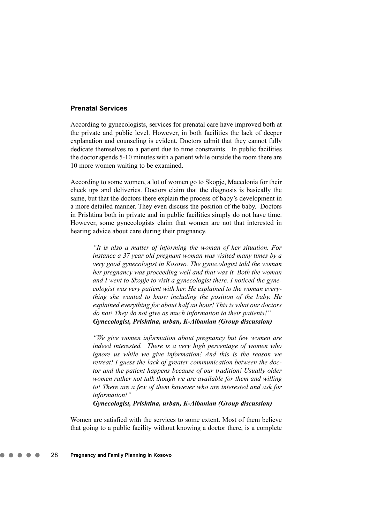# **Prenatal Services**

According to gynecologists, services for prenatal care have improved both at the private and public level. However, in both facilities the lack of deeper explanation and counseling is evident. Doctors admit that they cannot fully dedicate themselves to a patient due to time constraints. In public facilities the doctor spends 5-10 minutes with a patient while outside the room there are 10 more women waiting to be examined.

According to some women, a lot of women go to Skopje, Macedonia for their check ups and deliveries. Doctors claim that the diagnosis is basically the same, but that the doctors there explain the process of baby's development in a more detailed manner. They even discuss the position of the baby. Doctors in Prishtina both in private and in public facilities simply do not have time. However, some gynecologists claim that women are not that interested in hearing advice about care during their pregnancy.

> *"It is also a matter of informing the woman of her situation. For instance a 37 year old pregnant woman was visited many times by a very good gynecologist in Kosovo. The gynecologist told the woman her pregnancy was proceeding well and that was it. Both the woman and I went to Skopje to visit a gynecologist there. I noticed the gynecologist was very patient with her. He explained to the woman everything she wanted to know including the position of the baby. He explained everything for about half an hour! This is what our doctors do not! They do not give as much information to their patients!" Gynecologist, Prishtina, urban, K-Albanian (Group discussion)*

> *"We give women information about pregnancy but few women are indeed interested. There is a very high percentage of women who ignore us while we give information! And this is the reason we retreat! I guess the lack of greater communication between the doctor and the patient happens because of our tradition! Usually older women rather not talk though we are available for them and willing to! There are a few of them however who are interested and ask for information!"*

*Gynecologist, Prishtina, urban, K-Albanian (Group discussion)* 

Women are satisfied with the services to some extent. Most of them believe that going to a public facility without knowing a doctor there, is a complete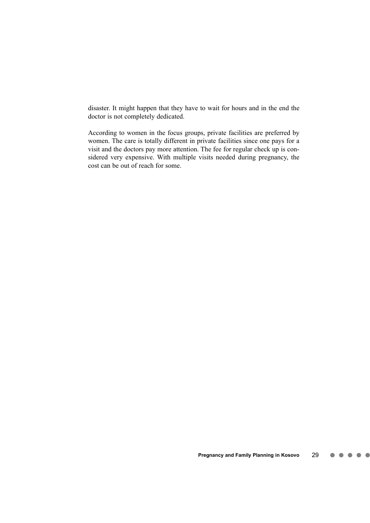disaster. It might happen that they have to wait for hours and in the end the doctor is not completely dedicated.

According to women in the focus groups, private facilities are preferred by women. The care is totally different in private facilities since one pays for a visit and the doctors pay more attention. The fee for regular check up is considered very expensive. With multiple visits needed during pregnancy, the cost can be out of reach for some.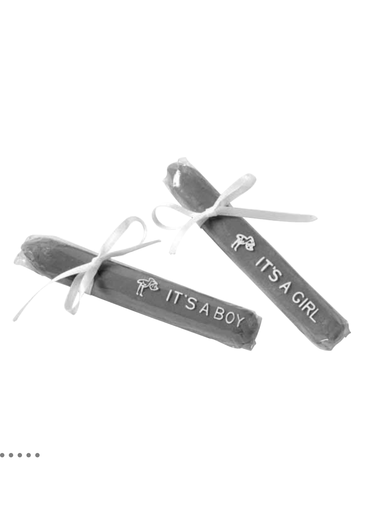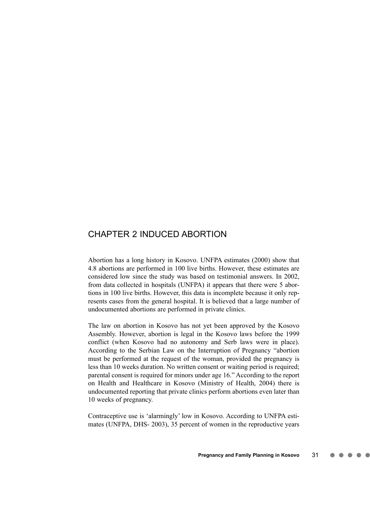# CHAPTER 2 INDUCED ABORTION

Abortion has a long history in Kosovo. UNFPA estimates (2000) show that 4.8 abortions are performed in 100 live births. However, these estimates are considered low since the study was based on testimonial answers. In 2002, from data collected in hospitals (UNFPA) it appears that there were 5 abortions in 100 live births. However, this data is incomplete because it only represents cases from the general hospital. It is believed that a large number of undocumented abortions are performed in private clinics.

The law on abortion in Kosovo has not yet been approved by the Kosovo Assembly. However, abortion is legal in the Kosovo laws before the 1999 conflict (when Kosovo had no autonomy and Serb laws were in place). According to the Serbian Law on the Interruption of Pregnancy "abortion must be performed at the request of the woman, provided the pregnancy is less than 10 weeks duration. No written consent or waiting period is required; parental consent is required for minors under age 16." According to the report on Health and Healthcare in Kosovo (Ministry of Health, 2004) there is undocumented reporting that private clinics perform abortions even later than 10 weeks of pregnancy.

Contraceptive use is 'alarmingly' low in Kosovo. According to UNFPA estimates (UNFPA, DHS- 2003), 35 percent of women in the reproductive years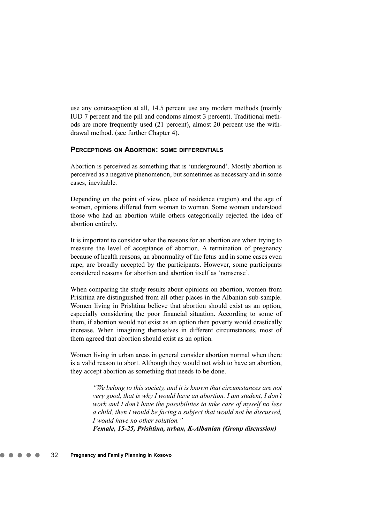use any contraception at all, 14.5 percent use any modern methods (mainly IUD 7 percent and the pill and condoms almost 3 percent). Traditional methods are more frequently used (21 percent), almost 20 percent use the withdrawal method. (see further Chapter 4).

## **PERCEPTIONS ON ABORTION: SOME DIFFERENTIALS**

Abortion is perceived as something that is 'underground'. Mostly abortion is perceived as a negative phenomenon, but sometimes as necessary and in some cases, inevitable.

Depending on the point of view, place of residence (region) and the age of women, opinions differed from woman to woman. Some women understood those who had an abortion while others categorically rejected the idea of abortion entirely.

It is important to consider what the reasons for an abortion are when trying to measure the level of acceptance of abortion. A termination of pregnancy because of health reasons, an abnormality of the fetus and in some cases even rape, are broadly accepted by the participants. However, some participants considered reasons for abortion and abortion itself as 'nonsense'.

When comparing the study results about opinions on abortion, women from Prishtina are distinguished from all other places in the Albanian sub-sample. Women living in Prishtina believe that abortion should exist as an option, especially considering the poor financial situation. According to some of them, if abortion would not exist as an option then poverty would drastically increase. When imagining themselves in different circumstances, most of them agreed that abortion should exist as an option.

Women living in urban areas in general consider abortion normal when there is a valid reason to abort. Although they would not wish to have an abortion, they accept abortion as something that needs to be done.

*"We belong to this society, and it is known that circumstances are not very good, that is why I would have an abortion. I am student, I don't work and I don't have the possibilities to take care of myself no less a child, then I would be facing a subject that would not be discussed, I would have no other solution."*

*Female, 15-25, Prishtina, urban, K-Albanian (Group discussion)* 

32 **Pregnancy and Family Planning in Kosovo**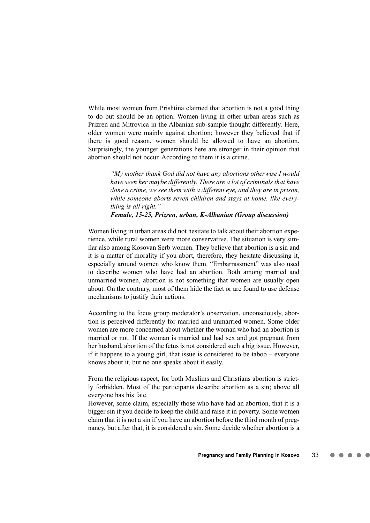While most women from Prishtina claimed that abortion is not a good thing to do but should be an option. Women living in other urban areas such as Prizren and Mitrovica in the Albanian sub-sample thought differently. Here, older women were mainly against abortion; however they believed that if there is good reason, women should be allowed to have an abortion. Surprisingly, the younger generations here are stronger in their opinion that abortion should not occur. According to them it is a crime.

> *"My mother thank God did not have any abortions otherwise I would have seen her maybe differently. There are a lot of criminals that have done a crime, we see them with a different eye, and they are in prison, while someone aborts seven children and stays at home, like everything is all right."*

*Female, 15-25, Prizren, urban, K-Albanian (Group discussion)* 

Women living in urban areas did not hesitate to talk about their abortion experience, while rural women were more conservative. The situation is very similar also among Kosovan Serb women. They believe that abortion is a sin and it is a matter of morality if you abort, therefore, they hesitate discussing it, especially around women who know them. "Embarrassment" was also used to describe women who have had an abortion. Both among married and unmarried women, abortion is not something that women are usually open about. On the contrary, most of them hide the fact or are found to use defense mechanisms to justify their actions.

According to the focus group moderator's observation, unconsciously, abortion is perceived differently for married and unmarried women. Some older women are more concerned about whether the woman who had an abortion is married or not. If the woman is married and had sex and got pregnant from her husband, abortion of the fetus is not considered such a big issue. However, if it happens to a young girl, that issue is considered to be taboo – everyone knows about it, but no one speaks about it easily.

From the religious aspect, for both Muslims and Christians abortion is strictly forbidden. Most of the participants describe abortion as a sin; above all everyone has his fate.

However, some claim, especially those who have had an abortion, that it is a bigger sin if you decide to keep the child and raise it in poverty. Some women claim that it is not a sin if you have an abortion before the third month of pregnancy, but after that, it is considered a sin. Some decide whether abortion is a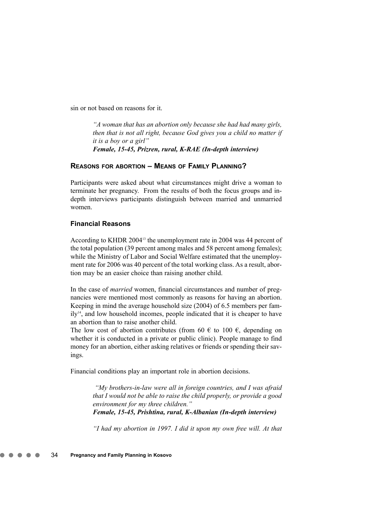sin or not based on reasons for it.

*"A woman that has an abortion only because she had had many girls, then that is not all right, because God gives you a child no matter if it is a boy or a girl" Female, 15-45, Prizren, rural, K-RAE (In-depth interview)* 

## **REASONS FOR ABORTION – MEANS OF FAMILY PLANNING?**

Participants were asked about what circumstances might drive a woman to terminate her pregnancy. From the results of both the focus groups and indepth interviews participants distinguish between married and unmarried women.

# **Financial Reasons**

According to KHDR 200413 the unemployment rate in 2004 was 44 percent of the total population (39 percent among males and 58 percent among females); while the Ministry of Labor and Social Welfare estimated that the unemployment rate for 2006 was 40 percent of the total working class. As a result, abortion may be an easier choice than raising another child.

In the case of *married* women, financial circumstances and number of pregnancies were mentioned most commonly as reasons for having an abortion. Keeping in mind the average household size (2004) of 6.5 members per fam $i\lambda^{14}$ , and low household incomes, people indicated that it is cheaper to have an abortion than to raise another child.

The low cost of abortion contributes (from 60  $\epsilon$  to 100  $\epsilon$ , depending on whether it is conducted in a private or public clinic). People manage to find money for an abortion, either asking relatives or friends or spending their savings.

Financial conditions play an important role in abortion decisions.

*"My brothers-in-law were all in foreign countries, and I was afraid that I would not be able to raise the child properly, or provide a good environment for my three children." Female, 15-45, Prishtina, rural, K-Albanian (In-depth interview)*

*"I had my abortion in 1997. I did it upon my own free will. At that*

34 **Pregnancy and Family Planning in Kosovo**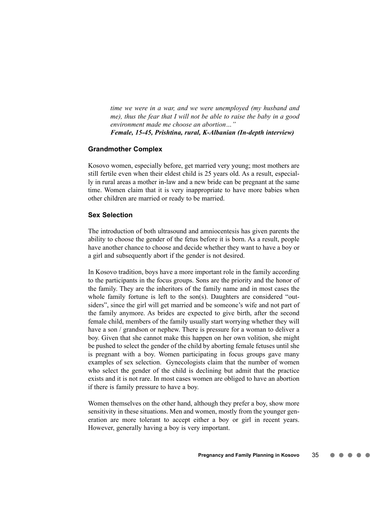*time we were in a war, and we were unemployed (my husband and me), thus the fear that I will not be able to raise the baby in a good environment made me choose an abortion…" Female, 15-45, Prishtina, rural, K-Albanian (In-depth interview)*

### **Grandmother Complex**

Kosovo women, especially before, get married very young; most mothers are still fertile even when their eldest child is 25 years old. As a result, especially in rural areas a mother in-law and a new bride can be pregnant at the same time. Women claim that it is very inappropriate to have more babies when other children are married or ready to be married.

### **Sex Selection**

The introduction of both ultrasound and amniocentesis has given parents the ability to choose the gender of the fetus before it is born. As a result, people have another chance to choose and decide whether they want to have a boy or a girl and subsequently abort if the gender is not desired.

In Kosovo tradition, boys have a more important role in the family according to the participants in the focus groups. Sons are the priority and the honor of the family. They are the inheritors of the family name and in most cases the whole family fortune is left to the son(s). Daughters are considered "outsiders", since the girl will get married and be someone's wife and not part of the family anymore. As brides are expected to give birth, after the second female child, members of the family usually start worrying whether they will have a son / grandson or nephew. There is pressure for a woman to deliver a boy. Given that she cannot make this happen on her own volition, she might be pushed to select the gender of the child by aborting female fetuses until she is pregnant with a boy. Women participating in focus groups gave many examples of sex selection. Gynecologists claim that the number of women who select the gender of the child is declining but admit that the practice exists and it is not rare. In most cases women are obliged to have an abortion if there is family pressure to have a boy.

Women themselves on the other hand, although they prefer a boy, show more sensitivity in these situations. Men and women, mostly from the younger generation are more tolerant to accept either a boy or girl in recent years. However, generally having a boy is very important.

 $\sim$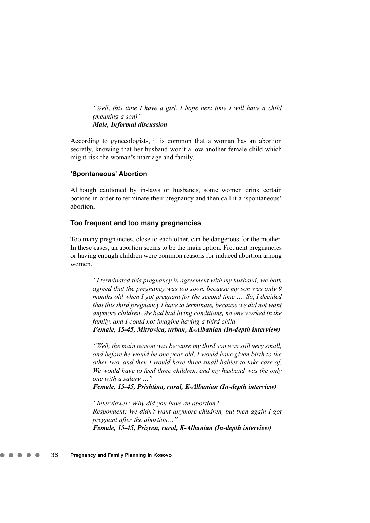*"Well, this time I have a girl. I hope next time I will have a child (meaning a son)" Male, Informal discussion*

According to gynecologists, it is common that a woman has an abortion secretly, knowing that her husband won't allow another female child which might risk the woman's marriage and family.

### **'Spontaneous' Abortion**

Although cautioned by in-laws or husbands, some women drink certain potions in order to terminate their pregnancy and then call it a 'spontaneous' abortion.

### **Too frequent and too many pregnancies**

Too many pregnancies, close to each other, can be dangerous for the mother. In these cases, an abortion seems to be the main option. Frequent pregnancies or having enough children were common reasons for induced abortion among women.

> *"I terminated this pregnancy in agreement with my husband; we both agreed that the pregnancy was too soon, because my son was only 9 months old when I got pregnant for the second time …. So, I decided that this third pregnancy I have to terminate, because we did not want anymore children. We had bad living conditions, no one worked in the family, and I could not imagine having a third child"*

> *Female, 15-45, Mitrovica, urban, K-Albanian (In-depth interview)*

*"Well, the main reason was because my third son was still very small, and before he would be one year old, I would have given birth to the other two, and then I would have three small babies to take care of. We would have to feed three children, and my husband was the only one with a salary …"*

*Female, 15-45, Prishtina, rural, K-Albanian (In-depth interview)*

*"Interviewer: Why did you have an abortion? Respondent: We didn't want anymore children, but then again I got pregnant after the abortion…" Female, 15-45, Prizren, rural, K-Albanian (In-depth interview)*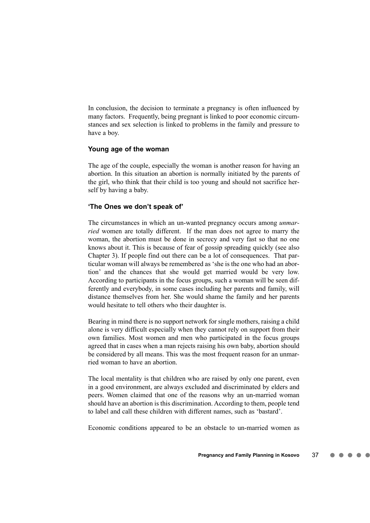In conclusion, the decision to terminate a pregnancy is often influenced by many factors. Frequently, being pregnant is linked to poor economic circumstances and sex selection is linked to problems in the family and pressure to have a boy.

### **Young age of the woman**

The age of the couple, especially the woman is another reason for having an abortion. In this situation an abortion is normally initiated by the parents of the girl, who think that their child is too young and should not sacrifice herself by having a baby.

### **'The Ones we don't speak of'**

The circumstances in which an un-wanted pregnancy occurs among *unmarried* women are totally different. If the man does not agree to marry the woman, the abortion must be done in secrecy and very fast so that no one knows about it. This is because of fear of gossip spreading quickly (see also Chapter 3). If people find out there can be a lot of consequences. That particular woman will always be remembered as 'she is the one who had an abortion' and the chances that she would get married would be very low. According to participants in the focus groups, such a woman will be seen differently and everybody, in some cases including her parents and family, will distance themselves from her. She would shame the family and her parents would hesitate to tell others who their daughter is.

Bearing in mind there is no support network for single mothers, raising a child alone is very difficult especially when they cannot rely on support from their own families. Most women and men who participated in the focus groups agreed that in cases when a man rejects raising his own baby, abortion should be considered by all means. This was the most frequent reason for an unmarried woman to have an abortion.

The local mentality is that children who are raised by only one parent, even in a good environment, are always excluded and discriminated by elders and peers. Women claimed that one of the reasons why an un-married woman should have an abortion is this discrimination. According to them, people tend to label and call these children with different names, such as 'bastard'.

Economic conditions appeared to be an obstacle to un-married women as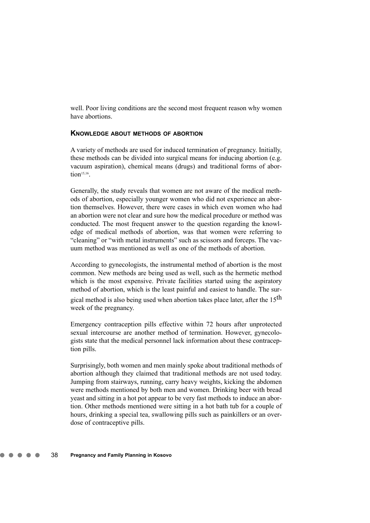well. Poor living conditions are the second most frequent reason why women have abortions.

### **KNOWLEDGE ABOUT METHODS OF ABORTION**

A variety of methods are used for induced termination of pregnancy. Initially, these methods can be divided into surgical means for inducing abortion (e.g. vacuum aspiration), chemical means (drugs) and traditional forms of abor $tion<sup>15,16</sup>$ 

Generally, the study reveals that women are not aware of the medical methods of abortion, especially younger women who did not experience an abortion themselves. However, there were cases in which even women who had an abortion were not clear and sure how the medical procedure or method was conducted. The most frequent answer to the question regarding the knowledge of medical methods of abortion, was that women were referring to "cleaning" or "with metal instruments" such as scissors and forceps. The vacuum method was mentioned as well as one of the methods of abortion.

According to gynecologists, the instrumental method of abortion is the most common. New methods are being used as well, such as the hermetic method which is the most expensive. Private facilities started using the aspiratory method of abortion, which is the least painful and easiest to handle. The surgical method is also being used when abortion takes place later, after the 15<sup>th</sup> week of the pregnancy.

Emergency contraception pills effective within 72 hours after unprotected sexual intercourse are another method of termination. However, gynecologists state that the medical personnel lack information about these contraception pills.

Surprisingly, both women and men mainly spoke about traditional methods of abortion although they claimed that traditional methods are not used today. Jumping from stairways, running, carry heavy weights, kicking the abdomen were methods mentioned by both men and women. Drinking beer with bread yeast and sitting in a hot pot appear to be very fast methods to induce an abortion. Other methods mentioned were sitting in a hot bath tub for a couple of hours, drinking a special tea, swallowing pills such as painkillers or an overdose of contraceptive pills.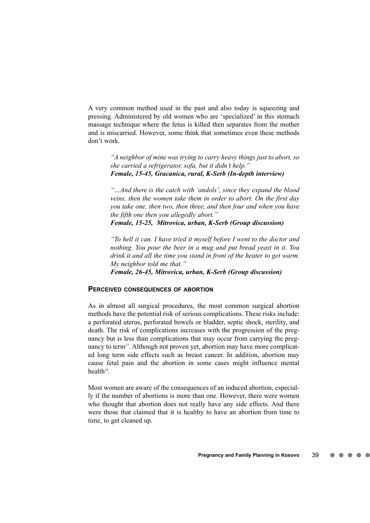A very common method used in the past and also today is squeezing and pressing. Administered by old women who are 'specialized' in this stomach massage technique where the fetus is killed then separates from the mother and is miscarried. However, some think that sometimes even these methods don't work.

> *"A neighbor of mine was trying to carry heavy things just to abort, so she carried a refrigerator, sofa, but it didn't help." Female, 15-45, Gracanica, rural, K-Serb (In-depth interview)*

> *"…And there is the catch with 'andols', since they expand the blood veins, then the women take them in order to abort. On the first day you take one, then two, then three, and then four and when you have the fifth one then you allegedly abort." Female, 15-25, Mitrovica, urban, K-Serb (Group discussion)*

> *"To hell it can. I have tried it myself before I went to the doctor and nothing. You pour the beer in a mug and put bread yeast in it. You drink it and all the time you stand in front of the heater to get warm. My neighbor told me that." Female, 26-45, Mitrovica, urban, K-Serb (Group discussion)*

### **PERCEIVED CONSEQUENCES OF ABORTION**

As in almost all surgical procedures, the most common surgical abortion methods have the potential risk of serious complications. These risks include: a perforated uterus, perforated bowels or bladder, septic shock, sterility, and death. The risk of complications increases with the progression of the pregnancy but is less than complications that may occur from carrying the pregnancy to term<sup>17</sup>. Although not proven yet, abortion may have more complicated long term side effects such as breast cancer. In addition, abortion may cause fetal pain and the abortion in some cases might influence mental health<sup>18</sup>.

Most women are aware of the consequences of an induced abortion, especially if the number of abortions is more than one. However, there were women who thought that abortion does not really have any side effects. And there were those that claimed that it is healthy to have an abortion from time to time, to get cleaned up.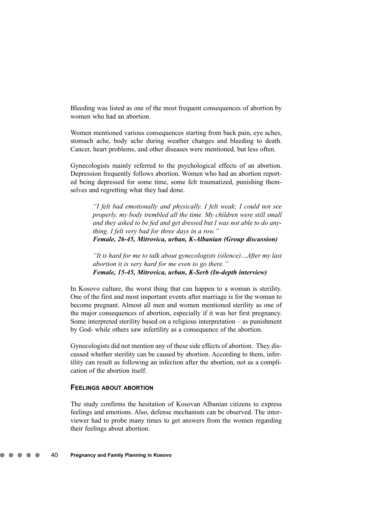Bleeding was listed as one of the most frequent consequences of abortion by women who had an abortion.

Women mentioned various consequences starting from back pain, eye aches, stomach ache, body ache during weather changes and bleeding to death. Cancer, heart problems, and other diseases were mentioned, but less often.

Gynecologists mainly referred to the psychological effects of an abortion. Depression frequently follows abortion. Women who had an abortion reported being depressed for some time, some felt traumatized, punishing themselves and regretting what they had done.

> *"I felt bad emotionally and physically. I felt weak; I could not see properly, my body trembled all the time. My children were still small and they asked to be fed and get dressed but I was not able to do anything. I felt very bad for three days in a row." Female, 26-45, Mitrovica, urban, K-Albanian (Group discussion)*

> *"It is hard for me to talk about gynecologists (silence)…After my last abortion it is very hard for me even to go there." Female, 15-45, Mitrovica, urban, K-Serb (In-depth interview)*

In Kosovo culture, the worst thing that can happen to a woman is sterility. One of the first and most important events after marriage is for the woman to become pregnant. Almost all men and women mentioned sterility as one of the major consequences of abortion, especially if it was her first pregnancy. Some interpreted sterility based on a religious interpretation – as punishment by God- while others saw infertility as a consequence of the abortion.

Gynecologists did not mention any of these side effects of abortion. They discussed whether sterility can be caused by abortion. According to them, infertility can result as following an infection after the abortion, not as a complication of the abortion itself.

### **FEELINGS ABOUT ABORTION**

The study confirms the hesitation of Kosovan Albanian citizens to express feelings and emotions. Also, defense mechanism can be observed. The interviewer had to probe many times to get answers from the women regarding their feelings about abortion.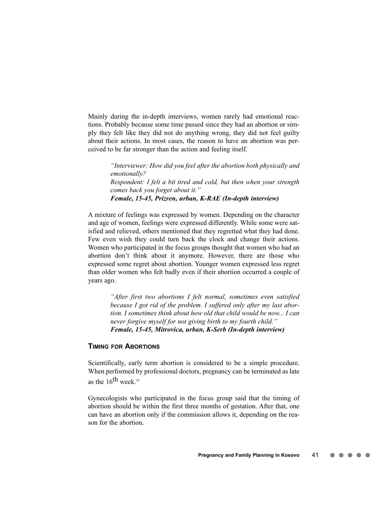Mainly during the in-depth interviews, women rarely had emotional reactions. Probably because some time passed since they had an abortion or simply they felt like they did not do anything wrong, they did not feel guilty about their actions. In most cases, the reason to have an abortion was perceived to be far stronger than the action and feeling itself.

> *"Interviewer: How did you feel after the abortion both physically and emotionally? Respondent: I felt a bit tired and cold, but then when your strength comes back you forget about it." Female, 15-45, Prizren, urban, K-RAE (In-depth interview)*

A mixture of feelings was expressed by women. Depending on the character and age of women, feelings were expressed differently. While some were satisfied and relieved, others mentioned that they regretted what they had done. Few even wish they could turn back the clock and change their actions. Women who participated in the focus groups thought that women who had an abortion don't think about it anymore. However, there are those who expressed some regret about abortion. Younger women expressed less regret than older women who felt badly even if their abortion occurred a couple of years ago.

> *"After first two abortions I felt normal, sometimes even satisfied because I got rid of the problem. I suffered only after my last abortion. I sometimes think about how old that child would be now... I can never forgive myself for not giving birth to my fourth child." Female, 15-45, Mitrovica, urban, K-Serb (In-depth interview)*

### **TIMING FOR ABORTIONS**

Scientifically, early term abortion is considered to be a simple procedure. When performed by professional doctors, pregnancy can be terminated as late as the  $16^{th}$  week.<sup>19</sup>

Gynecologists who participated in the focus group said that the timing of abortion should be within the first three months of gestation. After that, one can have an abortion only if the commission allows it, depending on the reason for the abortion.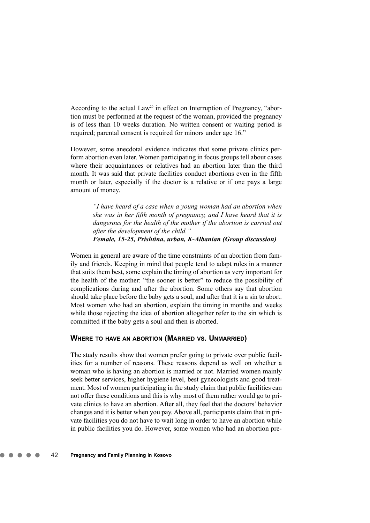According to the actual Law<sup>20</sup> in effect on Interruption of Pregnancy, "abortion must be performed at the request of the woman, provided the pregnancy is of less than 10 weeks duration. No written consent or waiting period is required; parental consent is required for minors under age 16."

However, some anecdotal evidence indicates that some private clinics perform abortion even later. Women participating in focus groups tell about cases where their acquaintances or relatives had an abortion later than the third month. It was said that private facilities conduct abortions even in the fifth month or later, especially if the doctor is a relative or if one pays a large amount of money.

> *"I have heard of a case when a young woman had an abortion when she was in her fifth month of pregnancy, and I have heard that it is dangerous for the health of the mother if the abortion is carried out after the development of the child."*

*Female, 15-25, Prishtina, urban, K-Albanian (Group discussion)*

Women in general are aware of the time constraints of an abortion from family and friends. Keeping in mind that people tend to adapt rules in a manner that suits them best, some explain the timing of abortion as very important for the health of the mother: "the sooner is better" to reduce the possibility of complications during and after the abortion. Some others say that abortion should take place before the baby gets a soul, and after that it is a sin to abort. Most women who had an abortion, explain the timing in months and weeks while those rejecting the idea of abortion altogether refer to the sin which is committed if the baby gets a soul and then is aborted.

### **WHERE TO HAVE AN ABORTION (MARRIED VS. UNMARRIED)**

The study results show that women prefer going to private over public facilities for a number of reasons. These reasons depend as well on whether a woman who is having an abortion is married or not. Married women mainly seek better services, higher hygiene level, best gynecologists and good treatment. Most of women participating in the study claim that public facilities can not offer these conditions and this is why most of them rather would go to private clinics to have an abortion. After all, they feel that the doctors' behavior changes and it is better when you pay. Above all, participants claim that in private facilities you do not have to wait long in order to have an abortion while in public facilities you do. However, some women who had an abortion pre-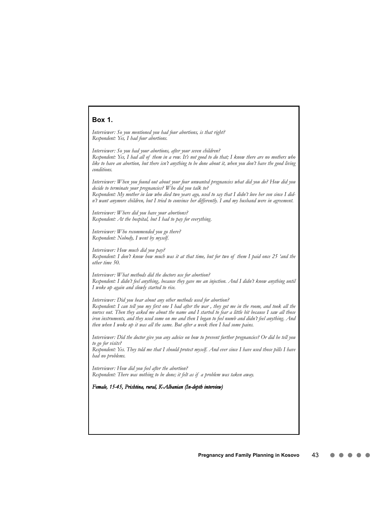### **Box 1.**

*Interviewer: So you mentioned you had four abortions, is that right? Respondent: Yes, I had four abortions.* 

*Interviewer: So you had your abortions, after your seven children? Respondent: Yes, I had all of them in a row. It's not good to do that; I know there are no mothers who like to have an abortion, but there isn't anything to be done about it, when you don't have the good living conditions.*

*Interviewer: When you found out about your four unwanted pregnancies what did you do? How did you decide to terminate your pregnancies? Who did you talk to? Respondent: My mother in law who died two years ago, used to say that I didn't love her son since I didn't want anymore children, but I tried to convince her differently. I and my husband were in agreement.*

*Interviewer: Where did you have your abortions? Respondent: At the hospital, but I had to pay for everything.*

*Interviewer: Who recommended you go there? Respondent: Nobody, I went by myself.*

*Interviewer: How much did you pay? Respondent: I don't know how much was it at that time, but for two of them I paid once 25 'and the other time 50.*

*Interviewer: What methods did the doctors use for abortion? Respondent: I didn't feel anything, because they gave me an injection. And I didn't know anything until I woke up again and slowly started to rise.*

*Interviewer: Did you hear about any other methods used for abortion? Respondent: I can tell you my first one I had after the war , they got me in the room, and took all the nurses out. Then they asked me about the name and I started to fear a little bit because I saw all those iron instruments, and they used some on me and then I began to feel numb and didn't feel anything. And then when I woke up it was all the same. But after a week then I had some pains.*

*Interviewer: Did the doctor give you any advice on how to prevent further pregnancies? Or did he tell you to go for visits?*

*Respondent: Yes. They told me that I should protect myself. And ever since I have used those pills I have had no problems.*

*Interviewer: How did you feel after the abortion? Respondent: There was nothing to be done; it felt as if a problem was taken away.*

*Female, 15-45, Prishtina, rural, K-Albanian (In-depth interview)*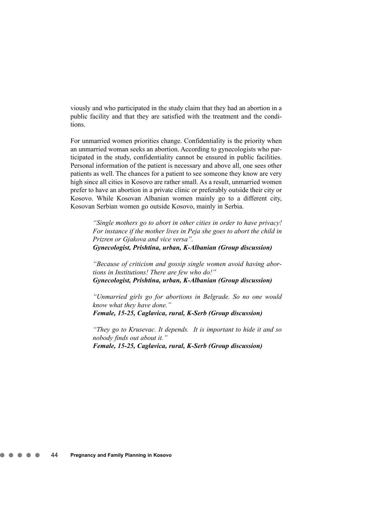viously and who participated in the study claim that they had an abortion in a public facility and that they are satisfied with the treatment and the conditions.

For unmarried women priorities change. Confidentiality is the priority when an unmarried woman seeks an abortion. According to gynecologists who participated in the study, confidentiality cannot be ensured in public facilities. Personal information of the patient is necessary and above all, one sees other patients as well. The chances for a patient to see someone they know are very high since all cities in Kosovo are rather small. As a result, unmarried women prefer to have an abortion in a private clinic or preferably outside their city or Kosovo. While Kosovan Albanian women mainly go to a different city, Kosovan Serbian women go outside Kosovo, mainly in Serbia.

> *"Single mothers go to abort in other cities in order to have privacy! For instance if the mother lives in Peja she goes to abort the child in Prizren or Gjakova and vice versa". Gynecologist, Prishtina, urban, K-Albanian (Group discussion)*

> *"Because of criticism and gossip single women avoid having abortions in Institutions! There are few who do!" Gynecologist, Prishtina, urban, K-Albanian (Group discussion)*

> *"Unmarried girls go for abortions in Belgrade. So no one would know what they have done." Female, 15-25, Caglavica, rural, K-Serb (Group discussion)*

> *"They go to Krusevac. It depends. It is important to hide it and so nobody finds out about it." Female, 15-25, Caglavica, rural, K-Serb (Group discussion)*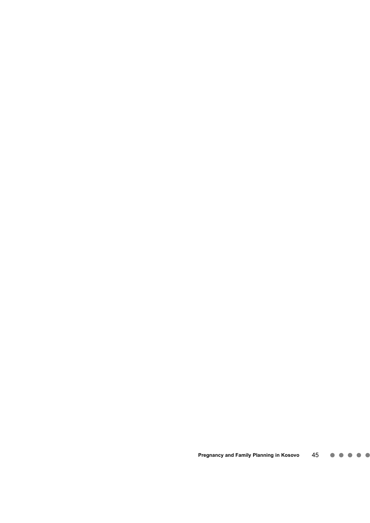**Pregnancy and Family Planning in Kosovo** 45

 $\bullet\hspace{0.1cm} \bullet\hspace{0.1cm} \bullet\hspace{0.1cm} \bullet\hspace{0.1cm} \bullet\hspace{0.1cm} \bullet\hspace{0.1cm} \bullet\hspace{0.1cm} \bullet$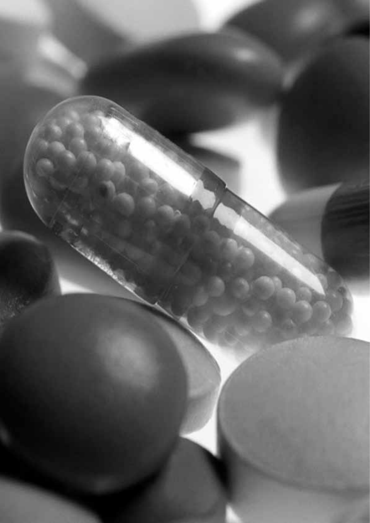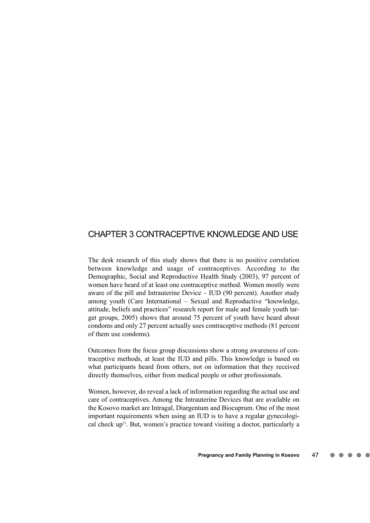### CHAPTER 3 CONTRACEPTIVE KNOWLEDGE AND USE

The desk research of this study shows that there is no positive correlation between knowledge and usage of contraceptives. According to the Demographic, Social and Reproductive Health Study (2003), 97 percent of women have heard of at least one contraceptive method. Women mostly were aware of the pill and Intrauterine Device – IUD (90 percent). Another study among youth (Care International – Sexual and Reproductive "knowledge, attitude, beliefs and practices" research report for male and female youth target groups, 2005) shows that around 75 percent of youth have heard about condoms and only 27 percent actually uses contraceptive methods (81 percent of them use condoms).

Outcomes from the focus group discussions show a strong awareness of contraceptive methods, at least the IUD and pills. This knowledge is based on what participants heard from others, not on information that they received directly themselves, either from medical people or other professionals.

Women, however, do reveal a lack of information regarding the actual use and care of contraceptives. Among the Intrauterine Devices that are available on the Kosovo market are Intragal, Diargentum and Biocuprum. One of the most important requirements when using an IUD is to have a regular gynecological check up<sup>21</sup>. But, women's practice toward visiting a doctor, particularly a

 $\sim$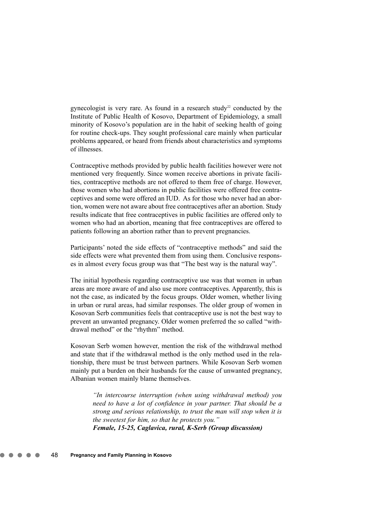gynecologist is very rare. As found in a research study<sup>22</sup> conducted by the Institute of Public Health of Kosovo, Department of Epidemiology, a small minority of Kosovo's population are in the habit of seeking health of going for routine check-ups. They sought professional care mainly when particular problems appeared, or heard from friends about characteristics and symptoms of illnesses.

Contraceptive methods provided by public health facilities however were not mentioned very frequently. Since women receive abortions in private facilities, contraceptive methods are not offered to them free of charge. However, those women who had abortions in public facilities were offered free contraceptives and some were offered an IUD. As for those who never had an abortion, women were not aware about free contraceptives after an abortion. Study results indicate that free contraceptives in public facilities are offered only to women who had an abortion, meaning that free contraceptives are offered to patients following an abortion rather than to prevent pregnancies.

Participants' noted the side effects of "contraceptive methods" and said the side effects were what prevented them from using them. Conclusive responses in almost every focus group was that "The best way is the natural way".

The initial hypothesis regarding contraceptive use was that women in urban areas are more aware of and also use more contraceptives. Apparently, this is not the case, as indicated by the focus groups. Older women, whether living in urban or rural areas, had similar responses. The older group of women in Kosovan Serb communities feels that contraceptive use is not the best way to prevent an unwanted pregnancy. Older women preferred the so called "withdrawal method" or the "rhythm" method.

Kosovan Serb women however, mention the risk of the withdrawal method and state that if the withdrawal method is the only method used in the relationship, there must be trust between partners. While Kosovan Serb women mainly put a burden on their husbands for the cause of unwanted pregnancy, Albanian women mainly blame themselves.

*"In intercourse interruption (when using withdrawal method) you need to have a lot of confidence in your partner. That should be a strong and serious relationship, to trust the man will stop when it is the sweetest for him, so that he protects you." Female, 15-25, Caglavica, rural, K-Serb (Group discussion)*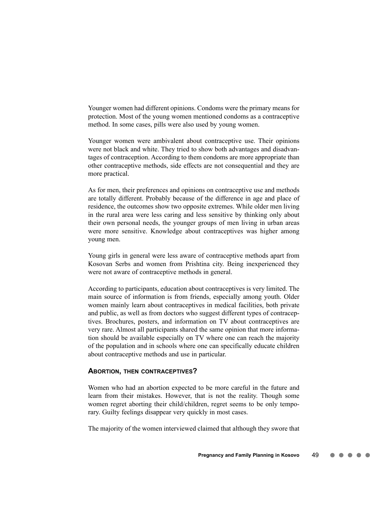Younger women had different opinions. Condoms were the primary means for protection. Most of the young women mentioned condoms as a contraceptive method. In some cases, pills were also used by young women.

Younger women were ambivalent about contraceptive use. Their opinions were not black and white. They tried to show both advantages and disadvantages of contraception. According to them condoms are more appropriate than other contraceptive methods, side effects are not consequential and they are more practical.

As for men, their preferences and opinions on contraceptive use and methods are totally different. Probably because of the difference in age and place of residence, the outcomes show two opposite extremes. While older men living in the rural area were less caring and less sensitive by thinking only about their own personal needs, the younger groups of men living in urban areas were more sensitive. Knowledge about contraceptives was higher among young men.

Young girls in general were less aware of contraceptive methods apart from Kosovan Serbs and women from Prishtina city. Being inexperienced they were not aware of contraceptive methods in general.

According to participants, education about contraceptives is very limited. The main source of information is from friends, especially among youth. Older women mainly learn about contraceptives in medical facilities, both private and public, as well as from doctors who suggest different types of contraceptives. Brochures, posters, and information on TV about contraceptives are very rare. Almost all participants shared the same opinion that more information should be available especially on TV where one can reach the majority of the population and in schools where one can specifically educate children about contraceptive methods and use in particular.

### **ABORTION, THEN CONTRACEPTIVES?**

Women who had an abortion expected to be more careful in the future and learn from their mistakes. However, that is not the reality. Though some women regret aborting their child/children, regret seems to be only temporary. Guilty feelings disappear very quickly in most cases.

The majority of the women interviewed claimed that although they swore that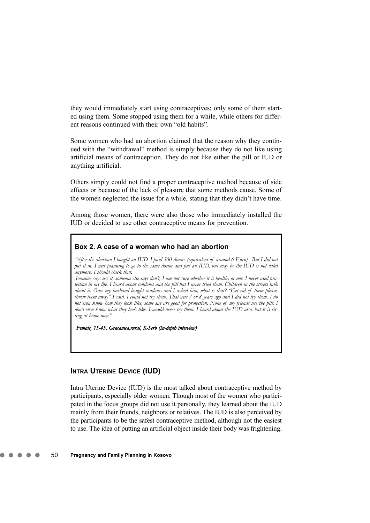they would immediately start using contraceptives; only some of them started using them. Some stopped using them for a while, while others for different reasons continued with their own "old habits".

Some women who had an abortion claimed that the reason why they continued with the "withdrawal" method is simply because they do not like using artificial means of contraception. They do not like either the pill or IUD or anything artificial.

Others simply could not find a proper contraceptive method because of side effects or because of the lack of pleasure that some methods cause. Some of the women neglected the issue for a while, stating that they didn't have time.

Among those women, there were also those who immediately installed the IUD or decided to use other contraceptive means for prevention.

### **Box 2. A case of a woman who had an abortion**

*"After the abortion I bought an IUD. I paid 500 dinars (equivalent of around 6 Euro). But I did not put it in. I was planning to go to the same doctor and put an IUD, but may be the IUD is not valid anymore, I should check that.*

*Someone says use it, someone else says don't, I am not sure whether it is healthy or not. I never used protection in my life. I heard about condoms and the pill but I never tried them. Children in the streets talk about it. Once my husband bought condoms and I asked him, what is that? "Get rid of them please, throw them away" I said. I could not try them. That was 7 or 8 years ago and I did not try them. I do not even know how they look like, some say are good for protection. None of my friends use the pill; I* don't even know what they look like. I would never try them. I heard about the IUD also, but it is sit*ting at home now."*

*Female, 15-45, Gracanica,rural, K-Serb (In-depth interview)*

### **INTRA UTERINE DEVICE (IUD)**

Intra Uterine Device (IUD) is the most talked about contraceptive method by participants, especially older women. Though most of the women who participated in the focus groups did not use it personally, they learned about the IUD mainly from their friends, neighbors or relatives. The IUD is also perceived by the participants to be the safest contraceptive method, although not the easiest to use. The idea of putting an artificial object inside their body was frightening.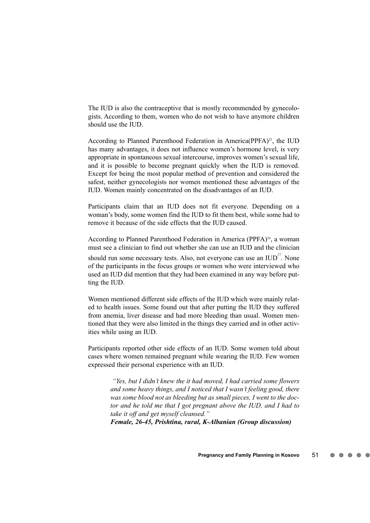The IUD is also the contraceptive that is mostly recommended by gynecologists. According to them, women who do not wish to have anymore children should use the IUD.

According to Planned Parenthood Federation in America(PPFA)<sup>23</sup>, the IUD has many advantages, it does not influence women's hormone level, is very appropriate in spontaneous sexual intercourse, improves women's sexual life, and it is possible to become pregnant quickly when the IUD is removed. Except for being the most popular method of prevention and considered the safest, neither gynecologists nor women mentioned these advantages of the IUD. Women mainly concentrated on the disadvantages of an IUD.

Participants claim that an IUD does not fit everyone. Depending on a woman's body, some women find the IUD to fit them best, while some had to remove it because of the side effects that the IUD caused.

According to Planned Parenthood Federation in America (PPFA) $^{24}$ , a woman must see a clinician to find out whether she can use an IUD and the clinician

should run some necessary tests. Also, not everyone can use an  $\text{IUD}^{\text{17}}$ . None of the participants in the focus groups or women who were interviewed who used an IUD did mention that they had been examined in any way before putting the IUD.

Women mentioned different side effects of the IUD which were mainly related to health issues. Some found out that after putting the IUD they suffered from anemia, liver disease and had more bleeding than usual. Women mentioned that they were also limited in the things they carried and in other activities while using an IUD.

Participants reported other side effects of an IUD. Some women told about cases where women remained pregnant while wearing the IUD. Few women expressed their personal experience with an IUD.

> *"Yes, but I didn't knew the it had moved, I had carried some flowers and some heavy things, and I noticed that I wasn't feeling good, there was some blood not as bleeding but as small pieces, I went to the doctor and he told me that I got pregnant above the IUD, and I had to take it off and get myself cleansed."*

*Female, 26-45, Prishtina, rural, K-Albanian (Group discussion)*

 $\sim$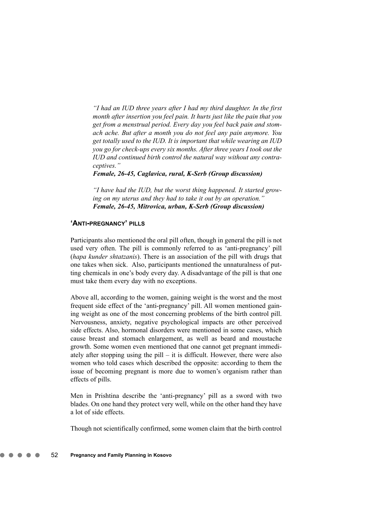*"I had an IUD three years after I had my third daughter. In the first month after insertion you feel pain. It hurts just like the pain that you get from a menstrual period. Every day you feel back pain and stomach ache. But after a month you do not feel any pain anymore. You get totally used to the IUD. It is important that while wearing an IUD you go for check-ups every six months. After three years I took out the IUD and continued birth control the natural way without any contraceptives."*

*Female, 26-45, Caglavica, rural, K-Serb (Group discussion)* 

*"I have had the IUD, but the worst thing happened. It started growing on my uterus and they had to take it out by an operation." Female, 26-45, Mitrovica, urban, K-Serb (Group discussion)*

### **'ANTI-PREGNANCY' PILLS**

Participants also mentioned the oral pill often, though in general the pill is not used very often. The pill is commonly referred to as 'anti-pregnancy' pill (*hapa kunder shtatzanis*). There is an association of the pill with drugs that one takes when sick. Also, participants mentioned the unnaturalness of putting chemicals in one's body every day. A disadvantage of the pill is that one must take them every day with no exceptions.

Above all, according to the women, gaining weight is the worst and the most frequent side effect of the 'anti-pregnancy' pill. All women mentioned gaining weight as one of the most concerning problems of the birth control pill. Nervousness, anxiety, negative psychological impacts are other perceived side effects. Also, hormonal disorders were mentioned in some cases, which cause breast and stomach enlargement, as well as beard and moustache growth. Some women even mentioned that one cannot get pregnant immediately after stopping using the pill – it is difficult. However, there were also women who told cases which described the opposite: according to them the issue of becoming pregnant is more due to women's organism rather than effects of pills.

Men in Prishtina describe the 'anti-pregnancy' pill as a sword with two blades. On one hand they protect very well, while on the other hand they have a lot of side effects.

Though not scientifically confirmed, some women claim that the birth control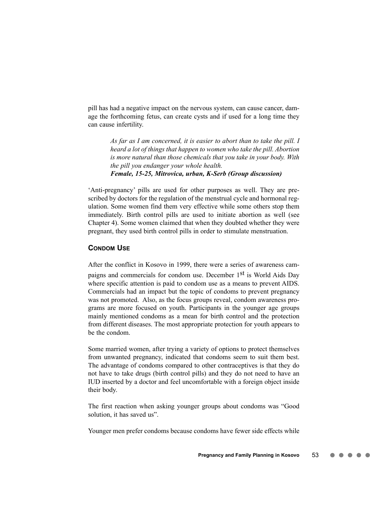pill has had a negative impact on the nervous system, can cause cancer, damage the forthcoming fetus, can create cysts and if used for a long time they can cause infertility.

> *As far as I am concerned, it is easier to abort than to take the pill. I heard a lot of things that happen to women who take the pill. Abortion is more natural than those chemicals that you take in your body. With the pill you endanger your whole health. Female, 15-25, Mitrovica, urban, K-Serb (Group discussion)*

'Anti-pregnancy' pills are used for other purposes as well. They are prescribed by doctors for the regulation of the menstrual cycle and hormonal regulation. Some women find them very effective while some others stop them immediately. Birth control pills are used to initiate abortion as well (see Chapter 4). Some women claimed that when they doubted whether they were pregnant, they used birth control pills in order to stimulate menstruation.

### **CONDOM USE**

After the conflict in Kosovo in 1999, there were a series of awareness cam-

paigns and commercials for condom use. December 1st is World Aids Day where specific attention is paid to condom use as a means to prevent AIDS. Commercials had an impact but the topic of condoms to prevent pregnancy was not promoted. Also, as the focus groups reveal, condom awareness programs are more focused on youth. Participants in the younger age groups mainly mentioned condoms as a mean for birth control and the protection from different diseases. The most appropriate protection for youth appears to be the condom.

Some married women, after trying a variety of options to protect themselves from unwanted pregnancy, indicated that condoms seem to suit them best. The advantage of condoms compared to other contraceptives is that they do not have to take drugs (birth control pills) and they do not need to have an IUD inserted by a doctor and feel uncomfortable with a foreign object inside their body.

The first reaction when asking younger groups about condoms was "Good solution, it has saved us".

Younger men prefer condoms because condoms have fewer side effects while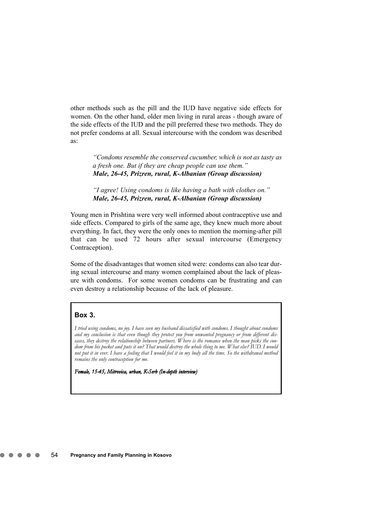other methods such as the pill and the IUD have negative side effects for women. On the other hand, older men living in rural areas - though aware of the side effects of the IUD and the pill preferred these two methods. They do not prefer condoms at all. Sexual intercourse with the condom was described as:

> *"Condoms resemble the conserved cucumber, which is not as tasty as a fresh one. But if they are cheap people can use them." Male, 26-45, Prizren, rural, K-Albanian (Group discussion)*

*"I agree! Using condoms is like having a bath with clothes on." Male, 26-45, Prizren, rural, K-Albanian (Group discussion)* 

Young men in Prishtina were very well informed about contraceptive use and side effects. Compared to girls of the same age, they knew much more about everything. In fact, they were the only ones to mention the morning-after pill that can be used 72 hours after sexual intercourse (Emergency Contraception).

Some of the disadvantages that women sited were: condoms can also tear during sexual intercourse and many women complained about the lack of pleasure with condoms. For some women condoms can be frustrating and can even destroy a relationship because of the lack of pleasure.

### **Box 3.**

*I tried using condoms, no joy. I have seen my husband dissatisfied with condoms. I thought about condoms and my conclusion is that even though they protect you from unwanted pregnancy or from different diseases, they destroy the relationship between partners. Where is the romance when the man picks the condom from his pocket and puts it on? That would destroy the whole thing to me. What else? IUD. I would not put it in ever. I have a feeling that I would feel it in my body all the time. So the withdrawal method remains the only contraception for me.*

*Female, 15-45, Mitrovica, urban, K-Serb (In-depth interview)*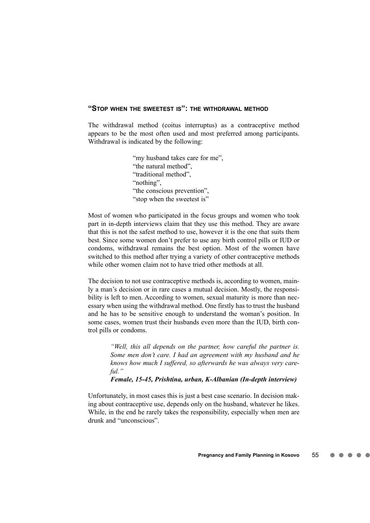### **"STOP WHEN THE SWEETEST IS": THE WITHDRAWAL METHOD**

The withdrawal method (coitus interruptus) as a contraceptive method appears to be the most often used and most preferred among participants. Withdrawal is indicated by the following:

> "my husband takes care for me", "the natural method", "traditional method", "nothing". "the conscious prevention", "stop when the sweetest is"

Most of women who participated in the focus groups and women who took part in in-depth interviews claim that they use this method. They are aware that this is not the safest method to use, however it is the one that suits them best. Since some women don't prefer to use any birth control pills or IUD or condoms, withdrawal remains the best option. Most of the women have switched to this method after trying a variety of other contraceptive methods while other women claim not to have tried other methods at all.

The decision to not use contraceptive methods is, according to women, mainly a man's decision or in rare cases a mutual decision. Mostly, the responsibility is left to men. According to women, sexual maturity is more than necessary when using the withdrawal method. One firstly has to trust the husband and he has to be sensitive enough to understand the woman's position. In some cases, women trust their husbands even more than the IUD, birth control pills or condoms.

> *"Well, this all depends on the partner, how careful the partner is. Some men don't care. I had an agreement with my husband and he knows how much I suffered, so afterwards he was always very careful."*

*Female, 15-45, Prishtina, urban, K-Albanian (In-depth interview)* 

Unfortunately, in most cases this is just a best case scenario. In decision making about contraceptive use, depends only on the husband, whatever he likes. While, in the end he rarely takes the responsibility, especially when men are drunk and "unconscious".

**Pregnancy and Family Planning in Kosovo** 55

 $\bullet\bullet\bullet$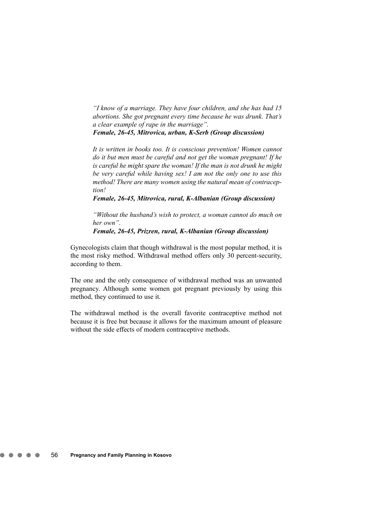*"I know of a marriage. They have four children, and she has had 15 abortions. She got pregnant every time because he was drunk. That's a clear example of rape in the marriage". Female, 26-45, Mitrovica, urban, K-Serb (Group discussion)* 

*It is written in books too. It is conscious prevention! Women cannot do it but men must be careful and not get the woman pregnant! If he is careful he might spare the woman! If the man is not drunk he might be very careful while having sex! I am not the only one to use this method! There are many women using the natural mean of contraception!*

*Female, 26-45, Mitrovica, rural, K-Albanian (Group discussion)*

*"Without the husband's wish to protect, a woman cannot do much on her own".*

*Female, 26-45, Prizren, rural, K-Albanian (Group discussion)* 

Gynecologists claim that though withdrawal is the most popular method, it is the most risky method. Withdrawal method offers only 30 percent-security, according to them.

The one and the only consequence of withdrawal method was an unwanted pregnancy. Although some women got pregnant previously by using this method, they continued to use it.

The withdrawal method is the overall favorite contraceptive method not because it is free but because it allows for the maximum amount of pleasure without the side effects of modern contraceptive methods.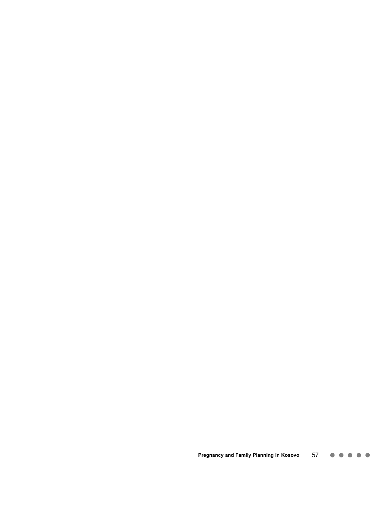**Pregnancy and Family Planning in Kosovo** 57

 $\bullet\hspace{0.1cm} \bullet\hspace{0.1cm} \bullet\hspace{0.1cm} \bullet\hspace{0.1cm} \bullet\hspace{0.1cm} \bullet\hspace{0.1cm} \bullet$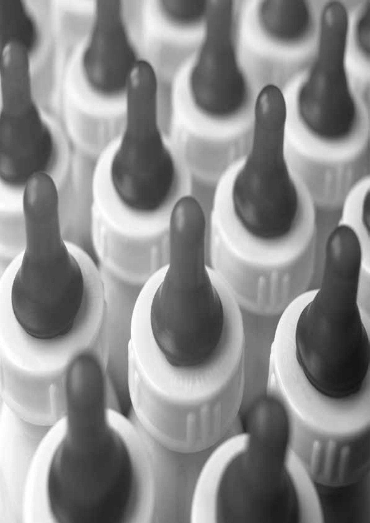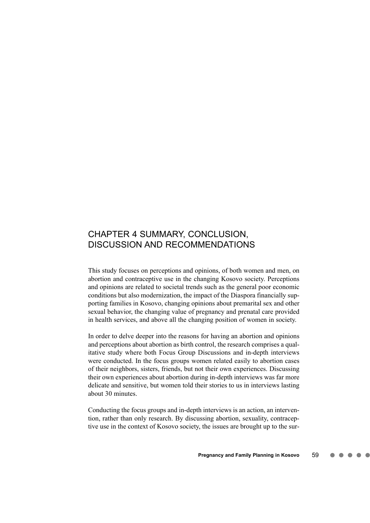# CHAPTER 4 SUMMARY, CONCLUSION, DISCUSSION AND RECOMMENDATIONS

This study focuses on perceptions and opinions, of both women and men, on abortion and contraceptive use in the changing Kosovo society. Perceptions and opinions are related to societal trends such as the general poor economic conditions but also modernization, the impact of the Diaspora financially supporting families in Kosovo, changing opinions about premarital sex and other sexual behavior, the changing value of pregnancy and prenatal care provided in health services, and above all the changing position of women in society.

In order to delve deeper into the reasons for having an abortion and opinions and perceptions about abortion as birth control, the research comprises a qualitative study where both Focus Group Discussions and in-depth interviews were conducted. In the focus groups women related easily to abortion cases of their neighbors, sisters, friends, but not their own experiences. Discussing their own experiences about abortion during in-depth interviews was far more delicate and sensitive, but women told their stories to us in interviews lasting about 30 minutes.

Conducting the focus groups and in-depth interviews is an action, an intervention, rather than only research. By discussing abortion, sexuality, contraceptive use in the context of Kosovo society, the issues are brought up to the sur-

 $\bullet$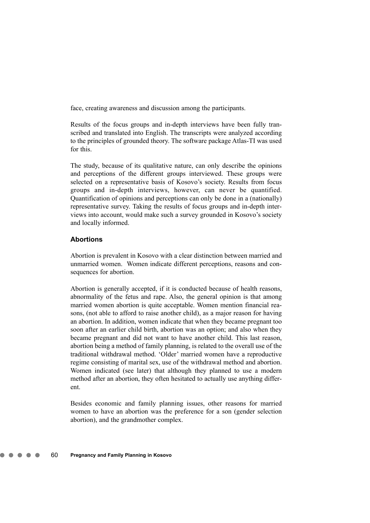face, creating awareness and discussion among the participants.

Results of the focus groups and in-depth interviews have been fully transcribed and translated into English. The transcripts were analyzed according to the principles of grounded theory. The software package Atlas-TI was used for this.

The study, because of its qualitative nature, can only describe the opinions and perceptions of the different groups interviewed. These groups were selected on a representative basis of Kosovo's society. Results from focus groups and in-depth interviews, however, can never be quantified. Quantification of opinions and perceptions can only be done in a (nationally) representative survey. Taking the results of focus groups and in-depth interviews into account, would make such a survey grounded in Kosovo's society and locally informed.

### **Abortions**

Abortion is prevalent in Kosovo with a clear distinction between married and unmarried women. Women indicate different perceptions, reasons and consequences for abortion.

Abortion is generally accepted, if it is conducted because of health reasons, abnormality of the fetus and rape. Also, the general opinion is that among married women abortion is quite acceptable. Women mention financial reasons, (not able to afford to raise another child), as a major reason for having an abortion. In addition, women indicate that when they became pregnant too soon after an earlier child birth, abortion was an option; and also when they became pregnant and did not want to have another child. This last reason, abortion being a method of family planning, is related to the overall use of the traditional withdrawal method. 'Older' married women have a reproductive regime consisting of marital sex, use of the withdrawal method and abortion. Women indicated (see later) that although they planned to use a modern method after an abortion, they often hesitated to actually use anything different.

Besides economic and family planning issues, other reasons for married women to have an abortion was the preference for a son (gender selection abortion), and the grandmother complex.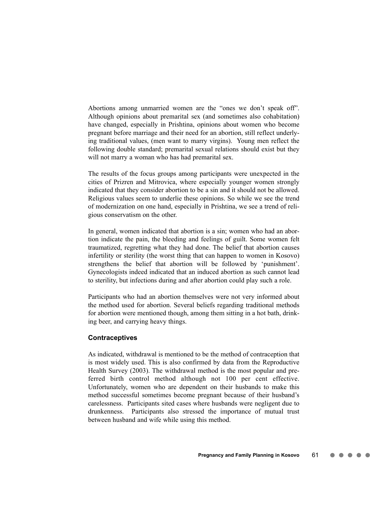Abortions among unmarried women are the "ones we don't speak off". Although opinions about premarital sex (and sometimes also cohabitation) have changed, especially in Prishtina, opinions about women who become pregnant before marriage and their need for an abortion, still reflect underlying traditional values, (men want to marry virgins). Young men reflect the following double standard; premarital sexual relations should exist but they will not marry a woman who has had premarital sex.

The results of the focus groups among participants were unexpected in the cities of Prizren and Mitrovica, where especially younger women strongly indicated that they consider abortion to be a sin and it should not be allowed. Religious values seem to underlie these opinions. So while we see the trend of modernization on one hand, especially in Prishtina, we see a trend of religious conservatism on the other.

In general, women indicated that abortion is a sin; women who had an abortion indicate the pain, the bleeding and feelings of guilt. Some women felt traumatized, regretting what they had done. The belief that abortion causes infertility or sterility (the worst thing that can happen to women in Kosovo) strengthens the belief that abortion will be followed by 'punishment'. Gynecologists indeed indicated that an induced abortion as such cannot lead to sterility, but infections during and after abortion could play such a role.

Participants who had an abortion themselves were not very informed about the method used for abortion. Several beliefs regarding traditional methods for abortion were mentioned though, among them sitting in a hot bath, drinking beer, and carrying heavy things.

### **Contraceptives**

As indicated, withdrawal is mentioned to be the method of contraception that is most widely used. This is also confirmed by data from the Reproductive Health Survey (2003). The withdrawal method is the most popular and preferred birth control method although not 100 per cent effective. Unfortunately, women who are dependent on their husbands to make this method successful sometimes become pregnant because of their husband's carelessness. Participants sited cases where husbands were negligent due to drunkenness. Participants also stressed the importance of mutual trust between husband and wife while using this method.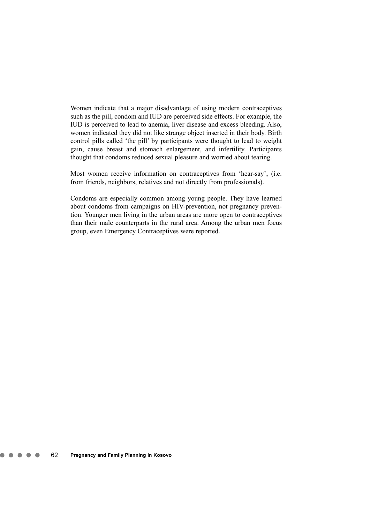Women indicate that a major disadvantage of using modern contraceptives such as the pill, condom and IUD are perceived side effects. For example, the IUD is perceived to lead to anemia, liver disease and excess bleeding. Also, women indicated they did not like strange object inserted in their body. Birth control pills called 'the pill' by participants were thought to lead to weight gain, cause breast and stomach enlargement, and infertility. Participants thought that condoms reduced sexual pleasure and worried about tearing.

Most women receive information on contraceptives from 'hear-say', (i.e. from friends, neighbors, relatives and not directly from professionals).

Condoms are especially common among young people. They have learned about condoms from campaigns on HIV-prevention, not pregnancy prevention. Younger men living in the urban areas are more open to contraceptives than their male counterparts in the rural area. Among the urban men focus group, even Emergency Contraceptives were reported.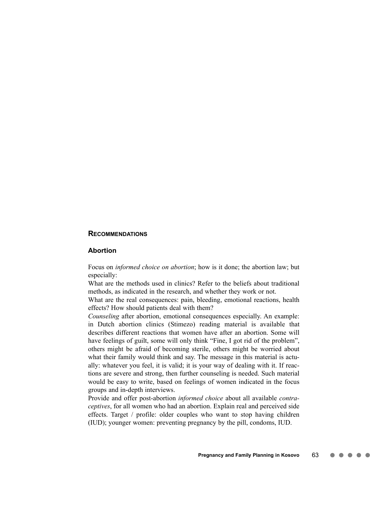### **RECOMMENDATIONS**

### **Abortion**

Focus on *informed choice on abortion*; how is it done; the abortion law; but especially:

What are the methods used in clinics? Refer to the beliefs about traditional methods, as indicated in the research, and whether they work or not.

What are the real consequences: pain, bleeding, emotional reactions, health effects? How should patients deal with them?

*Counseling* after abortion, emotional consequences especially. An example: in Dutch abortion clinics (Stimezo) reading material is available that describes different reactions that women have after an abortion. Some will have feelings of guilt, some will only think "Fine, I got rid of the problem", others might be afraid of becoming sterile, others might be worried about what their family would think and say. The message in this material is actually: whatever you feel, it is valid; it is your way of dealing with it. If reactions are severe and strong, then further counseling is needed. Such material would be easy to write, based on feelings of women indicated in the focus groups and in-depth interviews.

Provide and offer post-abortion *informed choice* about all available *contraceptives*, for all women who had an abortion. Explain real and perceived side effects. Target / profile: older couples who want to stop having children (IUD); younger women: preventing pregnancy by the pill, condoms, IUD.

 $\sim$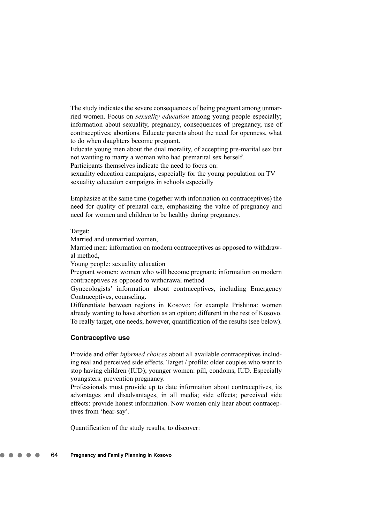The study indicates the severe consequences of being pregnant among unmarried women. Focus on *sexuality education* among young people especially; information about sexuality, pregnancy, consequences of pregnancy, use of contraceptives; abortions. Educate parents about the need for openness, what to do when daughters become pregnant.

Educate young men about the dual morality, of accepting pre-marital sex but not wanting to marry a woman who had premarital sex herself.

Participants themselves indicate the need to focus on:

sexuality education campaigns, especially for the young population on TV sexuality education campaigns in schools especially

Emphasize at the same time (together with information on contraceptives) the need for quality of prenatal care, emphasizing the value of pregnancy and need for women and children to be healthy during pregnancy.

### Target:

Married and unmarried women,

Married men: information on modern contraceptives as opposed to withdrawal method,

Young people: sexuality education

Pregnant women: women who will become pregnant; information on modern contraceptives as opposed to withdrawal method

Gynecologists' information about contraceptives, including Emergency Contraceptives, counseling.

Differentiate between regions in Kosovo; for example Prishtina: women already wanting to have abortion as an option; different in the rest of Kosovo. To really target, one needs, however, quantification of the results (see below).

### **Contraceptive use**

Provide and offer *informed choices* about all available contraceptives including real and perceived side effects. Target / profile: older couples who want to stop having children (IUD); younger women: pill, condoms, IUD. Especially youngsters: prevention pregnancy.

Professionals must provide up to date information about contraceptives, its advantages and disadvantages, in all media; side effects; perceived side effects: provide honest information. Now women only hear about contraceptives from 'hear-say'.

Quantification of the study results, to discover: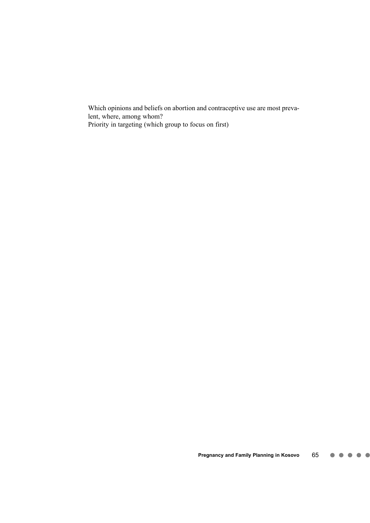Which opinions and beliefs on abortion and contraceptive use are most prevalent, where, among whom? Priority in targeting (which group to focus on first)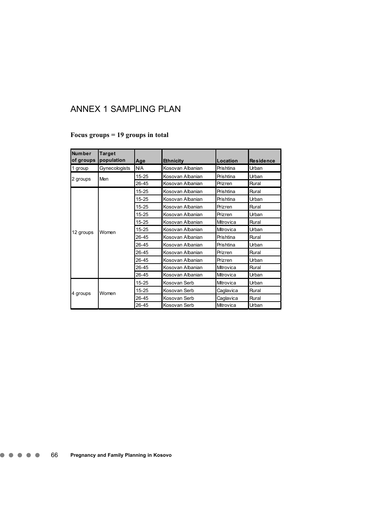# ANNEX 1 SAMPLING PLAN

| <b>Number</b><br>of groups | <b>Target</b><br>population | Age        | <b>Ethnicity</b> | Location         | <b>Residence</b> |
|----------------------------|-----------------------------|------------|------------------|------------------|------------------|
| 1 group                    | Gynecologists               | <b>N/A</b> | Kosovan Albanian | Prishtina        | Urban            |
| 2 groups                   | Men                         | $15 - 25$  | Kosovan Albanian | Prishtina        | Urban            |
|                            |                             | 26-45      | Kosovan Albanian | Prizren          | Rural            |
| 12 groups                  | Women                       | $15 - 25$  | Kosovan Albanian | Prishtina        | Rural            |
|                            |                             | $15 - 25$  | Kosovan Albanian | Prishtina        | Urban            |
|                            |                             | $15 - 25$  | Kosovan Albanian | Prizren          | Rural            |
|                            |                             | $15 - 25$  | Kosovan Albanian | Prizren          | Urban            |
|                            |                             | $15 - 25$  | Kosovan Albanian | <b>Mitrovica</b> | Rural            |
|                            |                             | 15-25      | Kosovan Albanian | Mitrovica        | Urban            |
|                            |                             | 26-45      | Kosovan Albanian | Prishtina        | Rural            |
|                            |                             | 26-45      | Kosovan Albanian | Prishtina        | Urban            |
|                            |                             | 26-45      | Kosovan Albanian | Prizren          | Rural            |
|                            |                             | 26-45      | Kosovan Albanian | Prizren          | Urban            |
|                            |                             | 26-45      | Kosovan Albanian | Mitrovica        | Rural            |
|                            |                             | 26-45      | Kosovan Albanian | Mitrovica        | Urban            |
| 4 groups                   | Women                       | $15 - 25$  | Kosovan Serb     | Mitrovica        | Urban            |
|                            |                             | 15-25      | Kosovan Serb     | Caglavica        | Rural            |
|                            |                             | 26-45      | Kosovan Serb     | Caglavica        | Rural            |
|                            |                             | 26-45      | Kosovan Serb     | Mitrovica        | Urban            |

# **Focus groups = 19 groups in total**

 $\bullet\hspace{0.1cm} \bullet\hspace{0.1cm} \bullet\hspace{0.1cm} \bullet\hspace{0.1cm} \bullet$ 66 **Pregnancy and Family Planning in Kosovo**  $\blacksquare$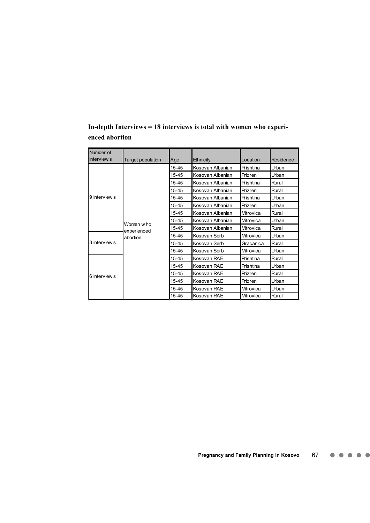| Number of     |                                       |           |                  |           |           |
|---------------|---------------------------------------|-----------|------------------|-----------|-----------|
| interview s   | <b>Target population</b>              | Age       | <b>Ethnicity</b> | Location  | Residence |
| 9 interview s | Women w ho<br>experienced<br>abortion | 15-45     | Kosovan Albanian | Prishtina | Urban     |
|               |                                       | 15-45     | Kosovan Albanian | Prizren   | Urban     |
|               |                                       | 15-45     | Kosovan Albanian | Prishtina | Rural     |
|               |                                       | $15 - 45$ | Kosovan Albanian | Prizren   | Rural     |
|               |                                       | 15-45     | Kosovan Albanian | Prishtina | Urban     |
|               |                                       | $15 - 45$ | Kosovan Albanian | Prizren   | Urban     |
|               |                                       | 15-45     | Kosovan Albanian | Mitrovica | Rural     |
|               |                                       | 15-45     | Kosovan Albanian | Mitrovica | Urban     |
|               |                                       | 15-45     | Kosovan Albanian | Mitrovica | Rural     |
|               |                                       | 15-45     | Kosovan Serb     | Mitrovica | Urban     |
| 3 interview s |                                       | 15-45     | Kosovan Serb     | Gracanica | Rural     |
|               |                                       | 15-45     | Kosovan Serb     | Mitrovica | Urban     |
| 6 interview s |                                       | 15-45     | Kosovan RAE      | Prishtina | Rural     |
|               |                                       | $15 - 45$ | Kosovan RAE      | Prishtina | Urban     |
|               |                                       | 15-45     | Kosovan RAE      | Prizren   | Rural     |
|               |                                       | 15-45     | Kosovan RAE      | Prizren   | Urban     |
|               |                                       | 15-45     | Kosovan RAE      | Mitrovica | Urban     |
|               |                                       | 15-45     | Kosovan RAE      | Mitrovica | Rural     |

## **In-depth Interviews = 18 interviews is total with women who experienced abortion**

 $\bullet\bullet\bullet\bullet\bullet\bullet$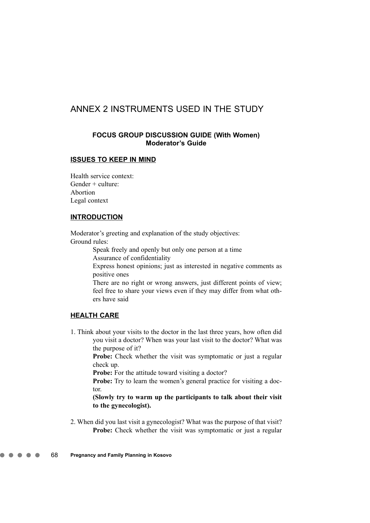### ANNEX 2 INSTRUMENTS USED IN THE STUDY

### **FOCUS GROUP DISCUSSION GUIDE (With Women) Moderator's Guide**

### **ISSUES TO KEEP IN MIND**

Health service context: Gender + culture: Abortion Legal context

### **INTRODUCTION**

Moderator's greeting and explanation of the study objectives: Ground rules:

> Speak freely and openly but only one person at a time Assurance of confidentiality

Express honest opinions; just as interested in negative comments as positive ones

There are no right or wrong answers, just different points of view; feel free to share your views even if they may differ from what others have said

### **HEALTH CARE**

1. Think about your visits to the doctor in the last three years, how often did you visit a doctor? When was your last visit to the doctor? What was the purpose of it?

> Probe: Check whether the visit was symptomatic or just a regular check up.

**Probe:** For the attitude toward visiting a doctor?

**Probe:** Try to learn the women's general practice for visiting a doctor.

**(Slowly try to warm up the participants to talk about their visit to the gynecologist).**

2. When did you last visit a gynecologist? What was the purpose of that visit? **Probe:** Check whether the visit was symptomatic or just a regular

 $\bullet\hspace{0.1cm} \bullet\hspace{0.1cm} \bullet\hspace{0.1cm} \bullet$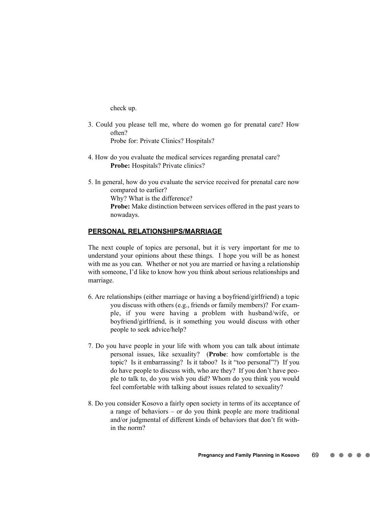check up.

- 3. Could you please tell me, where do women go for prenatal care? How often? Probe for: Private Clinics? Hospitals?
- 4. How do you evaluate the medical services regarding prenatal care? Probe: Hospitals? Private clinics?
- 5. In general, how do you evaluate the service received for prenatal care now compared to earlier? Why? What is the difference? **Probe:** Make distinction between services offered in the past years to nowadays.

### **PERSONAL RELATIONSHIPS/MARRIAGE**

The next couple of topics are personal, but it is very important for me to understand your opinions about these things. I hope you will be as honest with me as you can. Whether or not you are married or having a relationship with someone, I'd like to know how you think about serious relationships and marriage.

- 6. Are relationships (either marriage or having a boyfriend/girlfriend) a topic you discuss with others (e.g., friends or family members)? For example, if you were having a problem with husband/wife, or boyfriend/girlfriend, is it something you would discuss with other people to seek advice/help?
- 7. Do you have people in your life with whom you can talk about intimate personal issues, like sexuality? (**Probe**: how comfortable is the topic? Is it embarrassing? Is it taboo? Is it "too personal"?) If you do have people to discuss with, who are they? If you don't have people to talk to, do you wish you did? Whom do you think you would feel comfortable with talking about issues related to sexuality?
- 8. Do you consider Kosovo a fairly open society in terms of its acceptance of a range of behaviors – or do you think people are more traditional and/or judgmental of different kinds of behaviors that don't fit within the norm?

 $\bullet\bullet\bullet$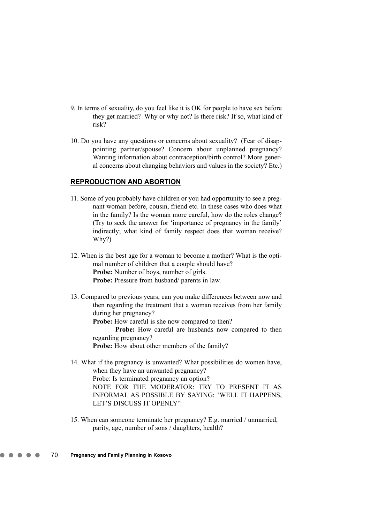- 9. In terms of sexuality, do you feel like it is OK for people to have sex before they get married? Why or why not? Is there risk? If so, what kind of risk?
- 10. Do you have any questions or concerns about sexuality? (Fear of disappointing partner/spouse? Concern about unplanned pregnancy? Wanting information about contraception/birth control? More general concerns about changing behaviors and values in the society? Etc.)

### **REPRODUCTION AND ABORTION**

- 11. Some of you probably have children or you had opportunity to see a pregnant woman before, cousin, friend etc. In these cases who does what in the family? Is the woman more careful, how do the roles change? (Try to seek the answer for 'importance of pregnancy in the family' indirectly; what kind of family respect does that woman receive? Why?)
- 12. When is the best age for a woman to become a mother? What is the optimal number of children that a couple should have? Probe: Number of boys, number of girls. **Probe:** Pressure from husband/ parents in law.
- 13. Compared to previous years, can you make differences between now and then regarding the treatment that a woman receives from her family during her pregnancy?

**Probe:** How careful is she now compared to then?

**Probe:** How careful are husbands now compared to then regarding pregnancy?

Probe: How about other members of the family?

- 14. What if the pregnancy is unwanted? What possibilities do women have, when they have an unwanted pregnancy? Probe: Is terminated pregnancy an option? NOTE FOR THE MODERATOR: TRY TO PRESENT IT AS INFORMAL AS POSSIBLE BY SAYING: 'WELL IT HAPPENS, LET'S DISCUSS IT OPENLY':
- 15. When can someone terminate her pregnancy? E.g. married / unmarried, parity, age, number of sons / daughters, health?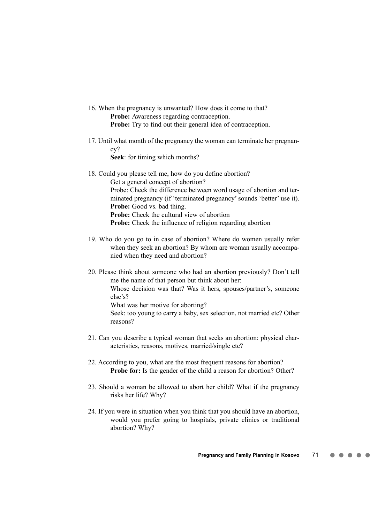- 16. When the pregnancy is unwanted? How does it come to that? Probe: Awareness regarding contraception. **Probe:** Try to find out their general idea of contraception.
- 17. Until what month of the pregnancy the woman can terminate her pregnancy?

**Seek**: for timing which months?

- 18. Could you please tell me, how do you define abortion? Get a general concept of abortion? Probe: Check the difference between word usage of abortion and terminated pregnancy (if 'terminated pregnancy' sounds 'better' use it). Probe: Good vs. bad thing. **Probe:** Check the cultural view of abortion **Probe:** Check the influence of religion regarding abortion
- 19. Who do you go to in case of abortion? Where do women usually refer when they seek an abortion? By whom are woman usually accompanied when they need and abortion?
- 20. Please think about someone who had an abortion previously? Don't tell me the name of that person but think about her: Whose decision was that? Was it hers, spouses/partner's, someone else's? What was her motive for aborting? Seek: too young to carry a baby, sex selection, not married etc? Other reasons?
- 21. Can you describe a typical woman that seeks an abortion: physical characteristics, reasons, motives, married/single etc?
- 22. According to you, what are the most frequent reasons for abortion? **Probe for:** Is the gender of the child a reason for abortion? Other?
- 23. Should a woman be allowed to abort her child? What if the pregnancy risks her life? Why?
- 24. If you were in situation when you think that you should have an abortion, would you prefer going to hospitals, private clinics or traditional abortion? Why?

**Pregnancy and Family Planning in Kosovo** 71

 $\bullet\bullet\bullet$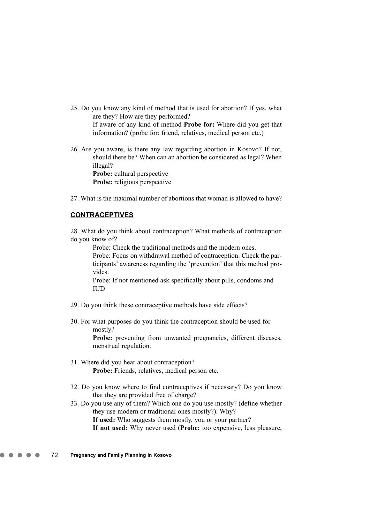- 25. Do you know any kind of method that is used for abortion? If yes, what are they? How are they performed? If aware of any kind of method **Probe for:** Where did you get that information? (probe for: friend, relatives, medical person etc.)
- 26. Are you aware, is there any law regarding abortion in Kosovo? If not, should there be? When can an abortion be considered as legal? When illegal? **Probe:** cultural perspective

**Probe:** religious perspective

27. What is the maximal number of abortions that woman is allowed to have?

## **CONTRACEPTIVES**

28. What do you think about contraception? What methods of contraception do you know of?

> Probe: Check the traditional methods and the modern ones. Probe: Focus on withdrawal method of contraception. Check the participants' awareness regarding the 'prevention' that this method provides.

Probe: If not mentioned ask specifically about pills, condoms and IUD

- 29. Do you think these contraceptive methods have side effects?
- 30. For what purposes do you think the contraception should be used for mostly?

**Probe:** preventing from unwanted pregnancies, different diseases, menstrual regulation.

- 31. Where did you hear about contraception? Probe: Friends, relatives, medical person etc.
- 32. Do you know where to find contraceptives if necessary? Do you know that they are provided free of charge?
- 33. Do you use any of them? Which one do you use mostly? (define whether they use modern or traditional ones mostly?). Why? **If used:** Who suggests them mostly, you or your partner? **If not used:** Why never used (**Probe:** too expensive, less pleasure,

72 **Pregnancy and Family Planning in Kosovo**

 $\bullet$   $\bullet$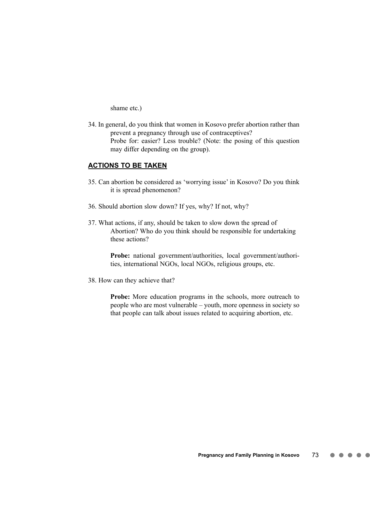shame etc.)

34. In general, do you think that women in Kosovo prefer abortion rather than prevent a pregnancy through use of contraceptives? Probe for: easier? Less trouble? (Note: the posing of this question may differ depending on the group).

## **ACTIONS TO BE TAKEN**

- 35. Can abortion be considered as 'worrying issue' in Kosovo? Do you think it is spread phenomenon?
- 36. Should abortion slow down? If yes, why? If not, why?
- 37. What actions, if any, should be taken to slow down the spread of Abortion? Who do you think should be responsible for undertaking these actions?

Probe: national government/authorities, local government/authorities, international NGOs, local NGOs, religious groups, etc.

38. How can they achieve that?

**Probe:** More education programs in the schools, more outreach to people who are most vulnerable – youth, more openness in society so that people can talk about issues related to acquiring abortion, etc.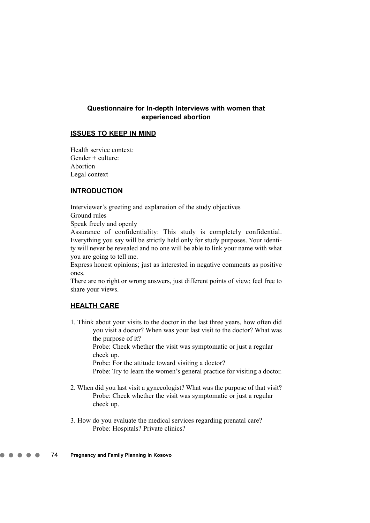# **Questionnaire for In-depth Interviews with women that experienced abortion**

# **ISSUES TO KEEP IN MIND**

Health service context: Gender + culture: Abortion Legal context

# **INTRODUCTION**

Interviewer's greeting and explanation of the study objectives Ground rules

Speak freely and openly

Assurance of confidentiality: This study is completely confidential. Everything you say will be strictly held only for study purposes. Your identity will never be revealed and no one will be able to link your name with what you are going to tell me.

Express honest opinions; just as interested in negative comments as positive ones.

There are no right or wrong answers, just different points of view; feel free to share your views.

# **HEALTH CARE**

1. Think about your visits to the doctor in the last three years, how often did you visit a doctor? When was your last visit to the doctor? What was the purpose of it?

> Probe: Check whether the visit was symptomatic or just a regular check up.

Probe: For the attitude toward visiting a doctor?

Probe: Try to learn the women's general practice for visiting a doctor.

- 2. When did you last visit a gynecologist? What was the purpose of that visit? Probe: Check whether the visit was symptomatic or just a regular check up.
- 3. How do you evaluate the medical services regarding prenatal care? Probe: Hospitals? Private clinics?

74 **Pregnancy and Family Planning in Kosovo**

 $\bullet$   $\bullet$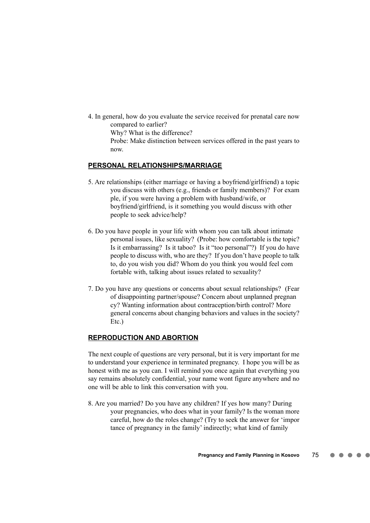4. In general, how do you evaluate the service received for prenatal care now compared to earlier? Why? What is the difference? Probe: Make distinction between services offered in the past years to now.

#### **PERSONAL RELATIONSHIPS/MARRIAGE**

- 5. Are relationships (either marriage or having a boyfriend/girlfriend) a topic you discuss with others (e.g., friends or family members)? For exam ple, if you were having a problem with husband/wife, or boyfriend/girlfriend, is it something you would discuss with other people to seek advice/help?
- 6. Do you have people in your life with whom you can talk about intimate personal issues, like sexuality? (Probe: how comfortable is the topic? Is it embarrassing? Is it taboo? Is it "too personal"?) If you do have people to discuss with, who are they? If you don't have people to talk to, do you wish you did? Whom do you think you would feel com fortable with, talking about issues related to sexuality?
- 7. Do you have any questions or concerns about sexual relationships? (Fear of disappointing partner/spouse? Concern about unplanned pregnan cy? Wanting information about contraception/birth control? More general concerns about changing behaviors and values in the society? Etc.)

## **REPRODUCTION AND ABORTION**

The next couple of questions are very personal, but it is very important for me to understand your experience in terminated pregnancy. I hope you will be as honest with me as you can. I will remind you once again that everything you say remains absolutely confidential, your name wont figure anywhere and no one will be able to link this conversation with you.

8. Are you married? Do you have any children? If yes how many? During your pregnancies, who does what in your family? Is the woman more careful, how do the roles change? (Try to seek the answer for 'impor tance of pregnancy in the family' indirectly; what kind of family

 $\sim$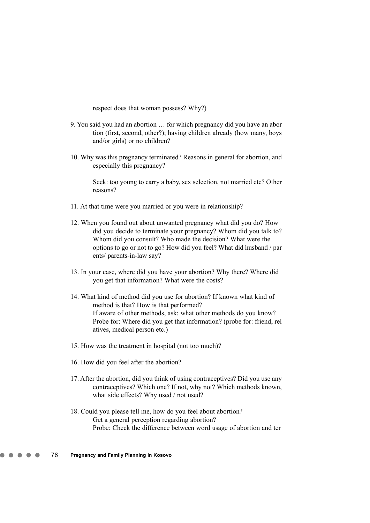respect does that woman possess? Why?)

- 9. You said you had an abortion … for which pregnancy did you have an abor tion (first, second, other?); having children already (how many, boys and/or girls) or no children?
- 10. Why was this pregnancy terminated? Reasons in general for abortion, and especially this pregnancy?

Seek: too young to carry a baby, sex selection, not married etc? Other reasons?

- 11. At that time were you married or you were in relationship?
- 12. When you found out about unwanted pregnancy what did you do? How did you decide to terminate your pregnancy? Whom did you talk to? Whom did you consult? Who made the decision? What were the options to go or not to go? How did you feel? What did husband / par ents/ parents-in-law say?
- 13. In your case, where did you have your abortion? Why there? Where did you get that information? What were the costs?
- 14. What kind of method did you use for abortion? If known what kind of method is that? How is that performed? If aware of other methods, ask: what other methods do you know? Probe for: Where did you get that information? (probe for: friend, rel atives, medical person etc.)
- 15. How was the treatment in hospital (not too much)?
- 16. How did you feel after the abortion?
- 17. After the abortion, did you think of using contraceptives? Did you use any contraceptives? Which one? If not, why not? Which methods known, what side effects? Why used / not used?
- 18. Could you please tell me, how do you feel about abortion? Get a general perception regarding abortion? Probe: Check the difference between word usage of abortion and ter

76 **Pregnancy and Family Planning in Kosovo**

 $\bullet\bullet\bullet$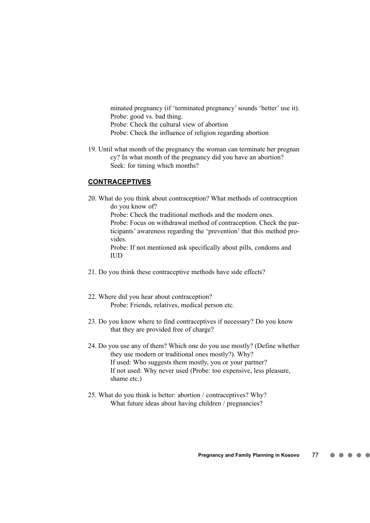minated pregnancy (if 'terminated pregnancy' sounds 'better' use it). Probe: good vs. bad thing. Probe: Check the cultural view of abortion Probe: Check the influence of religion regarding abortion

19. Until what month of the pregnancy the woman can terminate her pregnan cy? In what month of the pregnancy did you have an abortion? Seek: for timing which months?

# **CONTRACEPTIVES**

- 20. What do you think about contraception? What methods of contraception do you know of? Probe: Check the traditional methods and the modern ones. Probe: Focus on withdrawal method of contraception. Check the participants' awareness regarding the 'prevention' that this method provides. Probe: If not mentioned ask specifically about pills, condoms and IUD
- 21. Do you think these contraceptive methods have side effects?
- 22. Where did you hear about contraception? Probe: Friends, relatives, medical person etc.
- 23. Do you know where to find contraceptives if necessary? Do you know that they are provided free of charge?
- 24. Do you use any of them? Which one do you use mostly? (Define whether they use modern or traditional ones mostly?). Why? If used: Who suggests them mostly, you or your partner? If not used: Why never used (Probe: too expensive, less pleasure, shame etc.)
- 25. What do you think is better: abortion / contraceptives? Why? What future ideas about having children / pregnancies?

**Pregnancy and Family Planning in Kosovo** 77

 $\bullet\hspace{0.1cm} \bullet\hspace{0.1cm} \bullet\hspace{0.1cm} \bullet\hspace{0.1cm} \bullet$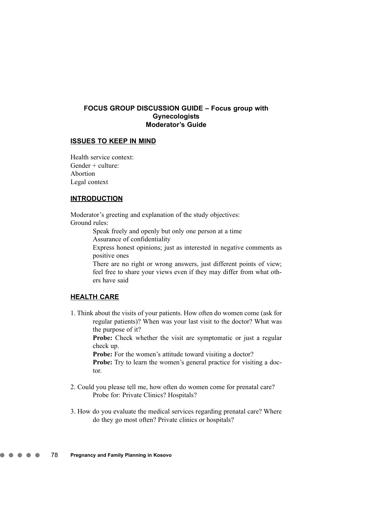# **FOCUS GROUP DISCUSSION GUIDE – Focus group with Gynecologists Moderator's Guide**

#### **ISSUES TO KEEP IN MIND**

Health service context: Gender + culture: Abortion Legal context

#### **INTRODUCTION**

Moderator's greeting and explanation of the study objectives: Ground rules:

> Speak freely and openly but only one person at a time Assurance of confidentiality

Express honest opinions; just as interested in negative comments as positive ones

There are no right or wrong answers, just different points of view; feel free to share your views even if they may differ from what others have said

## **HEALTH CARE**

1. Think about the visits of your patients. How often do women come (ask for regular patients)? When was your last visit to the doctor? What was the purpose of it?

> **Probe:** Check whether the visit are symptomatic or just a regular check up.

Probe: For the women's attitude toward visiting a doctor?

**Probe:** Try to learn the women's general practice for visiting a doctor.

- 2. Could you please tell me, how often do women come for prenatal care? Probe for: Private Clinics? Hospitals?
- 3. How do you evaluate the medical services regarding prenatal care? Where do they go most often? Private clinics or hospitals?

78 **Pregnancy and Family Planning in Kosovo**

 $\bullet$   $\bullet$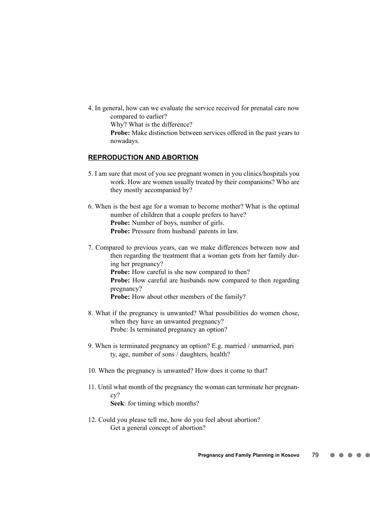4. In general, how can we evaluate the service received for prenatal care now compared to earlier? Why? What is the difference? **Probe:** Make distinction between services offered in the past years to nowadays.

## **REPRODUCTION AND ABORTION**

- 5. I am sure that most of you see pregnant women in you clinics/hospitals you work. How are women usually treated by their companions? Who are they mostly accompanied by?
- 6. When is the best age for a woman to become mother? What is the optimal number of children that a couple prefers to have? Probe: Number of boys, number of girls. **Probe:** Pressure from husband/ parents in law.
- 7. Compared to previous years, can we make differences between now and then regarding the treatment that a woman gets from her family during her pregnancy? **Probe:** How careful is she now compared to then? **Probe:** How careful are husbands now compared to then regarding pregnancy? Probe: How about other members of the family?
- 8. What if the pregnancy is unwanted? What possibilities do women chose, when they have an unwanted pregnancy? Probe: Is terminated pregnancy an option?
- 9. When is terminated pregnancy an option? E.g. married / unmarried, pari ty, age, number of sons / daughters, health?
- 10. When the pregnancy is unwanted? How does it come to that?
- 11. Until what month of the pregnancy the woman can terminate her pregnancy? **Seek**: for timing which months?
- 12. Could you please tell me, how do you feel about abortion? Get a general concept of abortion?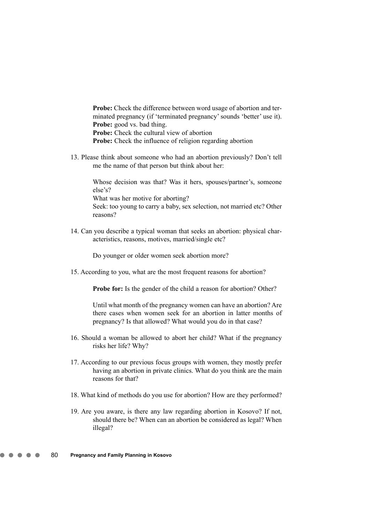**Probe:** Check the difference between word usage of abortion and terminated pregnancy (if 'terminated pregnancy' sounds 'better' use it). Probe: good vs. bad thing. Probe: Check the cultural view of abortion

**Probe:** Check the influence of religion regarding abortion

13. Please think about someone who had an abortion previously? Don't tell me the name of that person but think about her:

> Whose decision was that? Was it hers, spouses/partner's, someone else's? What was her motive for aborting? Seek: too young to carry a baby, sex selection, not married etc? Other reasons?

14. Can you describe a typical woman that seeks an abortion: physical characteristics, reasons, motives, married/single etc?

Do younger or older women seek abortion more?

15. According to you, what are the most frequent reasons for abortion?

Probe for: Is the gender of the child a reason for abortion? Other?

Until what month of the pregnancy women can have an abortion? Are there cases when women seek for an abortion in latter months of pregnancy? Is that allowed? What would you do in that case?

- 16. Should a woman be allowed to abort her child? What if the pregnancy risks her life? Why?
- 17. According to our previous focus groups with women, they mostly prefer having an abortion in private clinics. What do you think are the main reasons for that?
- 18. What kind of methods do you use for abortion? How are they performed?
- 19. Are you aware, is there any law regarding abortion in Kosovo? If not, should there be? When can an abortion be considered as legal? When illegal?

80 **Pregnancy and Family Planning in Kosovo**

 $\bullet$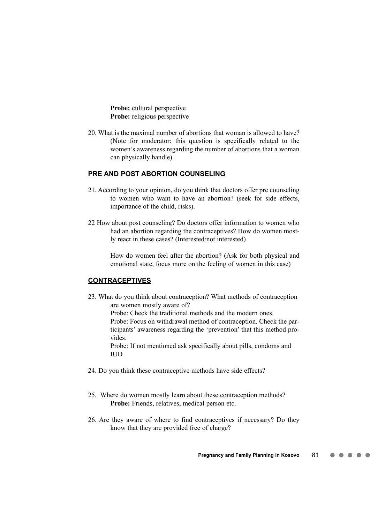**Probe:** cultural perspective **Probe:** religious perspective

20. What is the maximal number of abortions that woman is allowed to have? (Note for moderator: this question is specifically related to the women's awareness regarding the number of abortions that a woman can physically handle).

## **PRE AND POST ABORTION COUNSELING**

- 21. According to your opinion, do you think that doctors offer pre counseling to women who want to have an abortion? (seek for side effects, importance of the child, risks).
- 22 How about post counseling? Do doctors offer information to women who had an abortion regarding the contraceptives? How do women mostly react in these cases? (Interested/not interested)

How do women feel after the abortion? (Ask for both physical and emotional state, focus more on the feeling of women in this case)

#### **CONTRACEPTIVES**

23. What do you think about contraception? What methods of contraception are women mostly aware of?

Probe: Check the traditional methods and the modern ones.

Probe: Focus on withdrawal method of contraception. Check the participants' awareness regarding the 'prevention' that this method provides.

Probe: If not mentioned ask specifically about pills, condoms and IUD

- 24. Do you think these contraceptive methods have side effects?
- 25. Where do women mostly learn about these contraception methods? Probe: Friends, relatives, medical person etc.
- 26. Are they aware of where to find contraceptives if necessary? Do they know that they are provided free of charge?

. . . .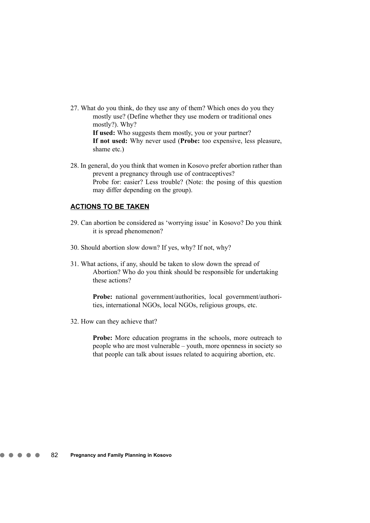- 27. What do you think, do they use any of them? Which ones do you they mostly use? (Define whether they use modern or traditional ones mostly?). Why? **If used:** Who suggests them mostly, you or your partner? **If not used:** Why never used (**Probe:** too expensive, less pleasure, shame etc.)
- 28. In general, do you think that women in Kosovo prefer abortion rather than prevent a pregnancy through use of contraceptives? Probe for: easier? Less trouble? (Note: the posing of this question may differ depending on the group).

## **ACTIONS TO BE TAKEN**

- 29. Can abortion be considered as 'worrying issue' in Kosovo? Do you think it is spread phenomenon?
- 30. Should abortion slow down? If yes, why? If not, why?
- 31. What actions, if any, should be taken to slow down the spread of Abortion? Who do you think should be responsible for undertaking these actions?

Probe: national government/authorities, local government/authorities, international NGOs, local NGOs, religious groups, etc.

32. How can they achieve that?

**Probe:** More education programs in the schools, more outreach to people who are most vulnerable – youth, more openness in society so that people can talk about issues related to acquiring abortion, etc.

 $\bullet$   $\bullet$ 82 **Pregnancy and Family Planning in Kosovo**